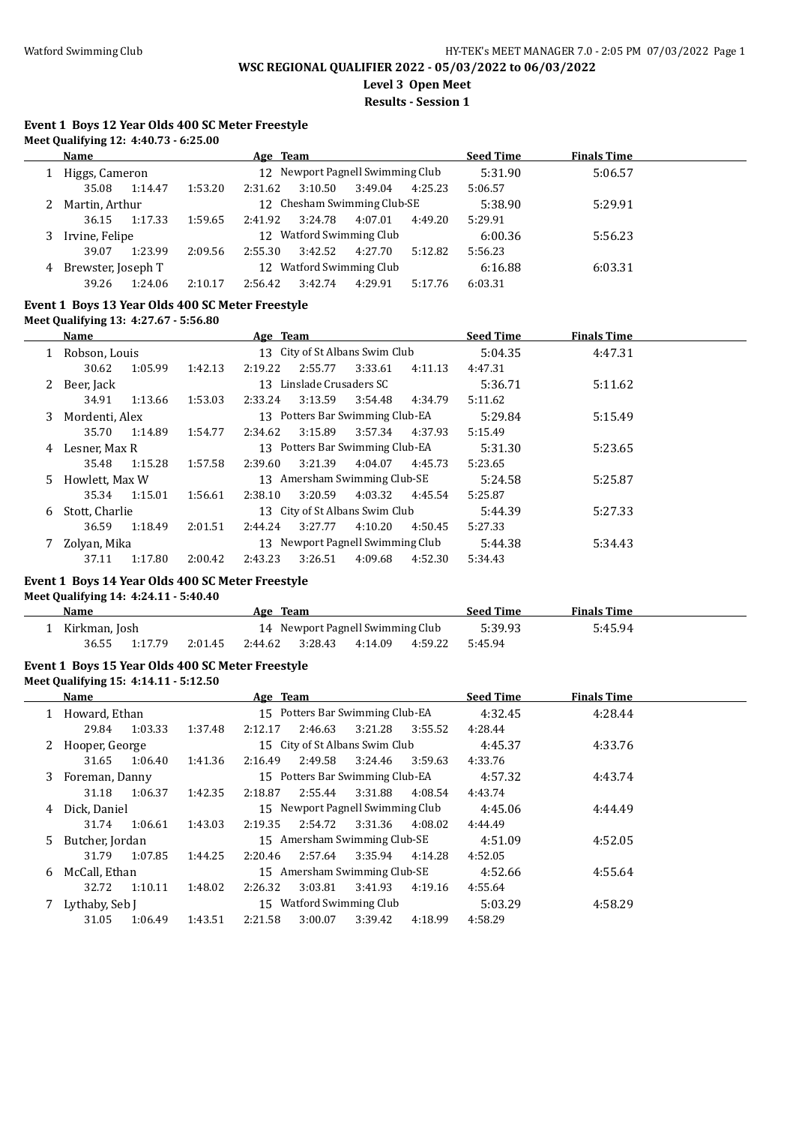**Level 3 Open Meet**

**Results - Session 1**

# **Event 1 Boys 12 Year Olds 400 SC Meter Freestyle**

|   | Name               |         |         | Age Team |         |                                  |         | <b>Seed Time</b> | <b>Finals Time</b> |  |
|---|--------------------|---------|---------|----------|---------|----------------------------------|---------|------------------|--------------------|--|
|   | Higgs, Cameron     |         |         |          |         | 12 Newport Pagnell Swimming Club |         | 5:31.90          | 5:06.57            |  |
|   | 35.08              | 1:14.47 | 1:53.20 | 2:31.62  | 3:10.50 | 3:49.04                          | 4:25.23 | 5:06.57          |                    |  |
|   | Martin, Arthur     |         |         |          |         | 12 Chesham Swimming Club-SE      |         | 5:38.90          | 5:29.91            |  |
|   | 36.15              | 1:17.33 | 1:59.65 | 2:41.92  | 3:24.78 | 4:07.01                          | 4:49.20 | 5:29.91          |                    |  |
|   | Irvine, Felipe     |         |         |          |         | 12 Watford Swimming Club         |         | 6:00.36          | 5:56.23            |  |
|   | 39.07              | 1:23.99 | 2:09.56 | 2:55.30  | 3:42.52 | 4:27.70                          | 5:12.82 | 5:56.23          |                    |  |
| 4 | Brewster, Joseph T |         |         |          |         | 12 Watford Swimming Club         |         | 6:16.88          | 6:03.31            |  |
|   | 39.26              | 1:24.06 | 2:10.17 | 2:56.42  | 3:42.74 | 4:29.91                          | 5:17.76 | 6:03.31          |                    |  |

## **Event 1 Boys 13 Year Olds 400 SC Meter Freestyle**

**Meet Qualifying 13: 4:27.67 - 5:56.80**

|    | Name           |         |         | Age Team |                          |                                  |         | <b>Seed Time</b> | <b>Finals Time</b> |  |
|----|----------------|---------|---------|----------|--------------------------|----------------------------------|---------|------------------|--------------------|--|
|    | Robson, Louis  |         |         |          |                          | 13 City of St Albans Swim Club   |         | 5:04.35          | 4:47.31            |  |
|    | 30.62          | 1:05.99 | 1:42.13 | 2:19.22  | 2:55.77                  | 3:33.61                          | 4:11.13 | 4:47.31          |                    |  |
|    | 2 Beer, Jack   |         |         |          | 13 Linslade Crusaders SC |                                  |         | 5:36.71          | 5:11.62            |  |
|    | 34.91          | 1:13.66 | 1:53.03 | 2:33.24  | 3:13.59                  | 3:54.48                          | 4:34.79 | 5:11.62          |                    |  |
| 3  | Mordenti. Alex |         |         |          |                          | 13 Potters Bar Swimming Club-EA  |         | 5:29.84          | 5:15.49            |  |
|    | 35.70          | 1:14.89 | 1:54.77 | 2:34.62  | 3:15.89                  | 3:57.34                          | 4:37.93 | 5:15.49          |                    |  |
| 4  | Lesner, Max R  |         |         |          |                          | 13 Potters Bar Swimming Club-EA  |         | 5:31.30          | 5:23.65            |  |
|    | 35.48          | 1:15.28 | 1:57.58 | 2:39.60  | 3:21.39                  | 4:04.07                          | 4:45.73 | 5:23.65          |                    |  |
| 5. | Howlett. Max W |         |         |          |                          | 13 Amersham Swimming Club-SE     |         | 5:24.58          | 5:25.87            |  |
|    | 35.34          | 1:15.01 | 1:56.61 | 2:38.10  | 3:20.59                  | 4:03.32                          | 4:45.54 | 5:25.87          |                    |  |
| 6  | Stott, Charlie |         |         |          |                          | 13 City of St Albans Swim Club   |         | 5:44.39          | 5:27.33            |  |
|    | 36.59          | 1:18.49 | 2:01.51 | 2:44.24  | 3:27.77                  | 4:10.20                          | 4:50.45 | 5:27.33          |                    |  |
|    | Zolyan, Mika   |         |         |          |                          | 13 Newport Pagnell Swimming Club |         | 5:44.38          | 5:34.43            |  |
|    | 37.11          | 1:17.80 | 2:00.42 | 2:43.23  | 3:26.51                  | 4:09.68                          | 4:52.30 | 5:34.43          |                    |  |

#### **Event 1 Boys 14 Year Olds 400 SC Meter Freestyle**

**Meet Qualifying 14: 4:24.11 - 5:40.40**

| Name          |         |         | Age Team |                                         |  | <b>Seed Time</b> | <b>Finals Time</b> |  |
|---------------|---------|---------|----------|-----------------------------------------|--|------------------|--------------------|--|
| Kirkman, Josh |         |         |          | 14 Newport Pagnell Swimming Club        |  | 5:39.93          | 5:45.94            |  |
| 36.55         | 1:17.79 | 2:01.45 |          | 2:44.62 3:28.43 4:14.09 4:59.22 5:45.94 |  |                  |                    |  |

## **Event 1 Boys 15 Year Olds 400 SC Meter Freestyle**

**Meet Qualifying 15: 4:14.11 - 5:12.50**

|              | <b>Name</b>     |         |         | Age Team        |         |                                  |         | <b>Seed Time</b> | <b>Finals Time</b> |  |
|--------------|-----------------|---------|---------|-----------------|---------|----------------------------------|---------|------------------|--------------------|--|
|              | Howard, Ethan   |         |         |                 |         | 15 Potters Bar Swimming Club-EA  |         | 4:32.45          | 4:28.44            |  |
|              | 29.84           | 1:03.33 | 1:37.48 | 2:12.17         | 2:46.63 | 3:21.28                          | 3:55.52 | 4:28.44          |                    |  |
| $\mathbf{Z}$ | Hooper, George  |         |         |                 |         | 15 City of St Albans Swim Club   |         | 4:45.37          | 4:33.76            |  |
|              | 31.65           | 1:06.40 | 1:41.36 | 2:16.49         | 2:49.58 | 3:24.46                          | 3:59.63 | 4:33.76          |                    |  |
| 3            | Foreman, Danny  |         |         |                 |         | 15 Potters Bar Swimming Club-EA  |         | 4:57.32          | 4:43.74            |  |
|              | 31.18           | 1:06.37 | 1:42.35 | 2:18.87         | 2:55.44 | 3:31.88                          | 4:08.54 | 4:43.74          |                    |  |
| 4            | Dick. Daniel    |         |         |                 |         | 15 Newport Pagnell Swimming Club |         | 4:45.06          | 4:44.49            |  |
|              | 31.74           | 1:06.61 | 1:43.03 | 2:19.35         | 2:54.72 | 3:31.36                          | 4:08.02 | 4:44.49          |                    |  |
| 5.           | Butcher, Jordan |         |         |                 |         | 15 Amersham Swimming Club-SE     |         | 4:51.09          | 4:52.05            |  |
|              | 31.79           | 1:07.85 | 1:44.25 | 2:20.46         | 2:57.64 | 3:35.94                          | 4:14.28 | 4:52.05          |                    |  |
| 6            | McCall, Ethan   |         |         |                 |         | 15 Amersham Swimming Club-SE     |         | 4:52.66          | 4:55.64            |  |
|              | 32.72           | 1:10.11 | 1:48.02 | 2:26.32         | 3:03.81 | 3:41.93                          | 4:19.16 | 4:55.64          |                    |  |
|              | Lythaby, Seb J  |         |         | 15 <sup>2</sup> |         | <b>Watford Swimming Club</b>     |         | 5:03.29          | 4:58.29            |  |
|              | 31.05           | 1:06.49 | 1:43.51 | 2:21.58         | 3:00.07 | 3:39.42                          | 4:18.99 | 4:58.29          |                    |  |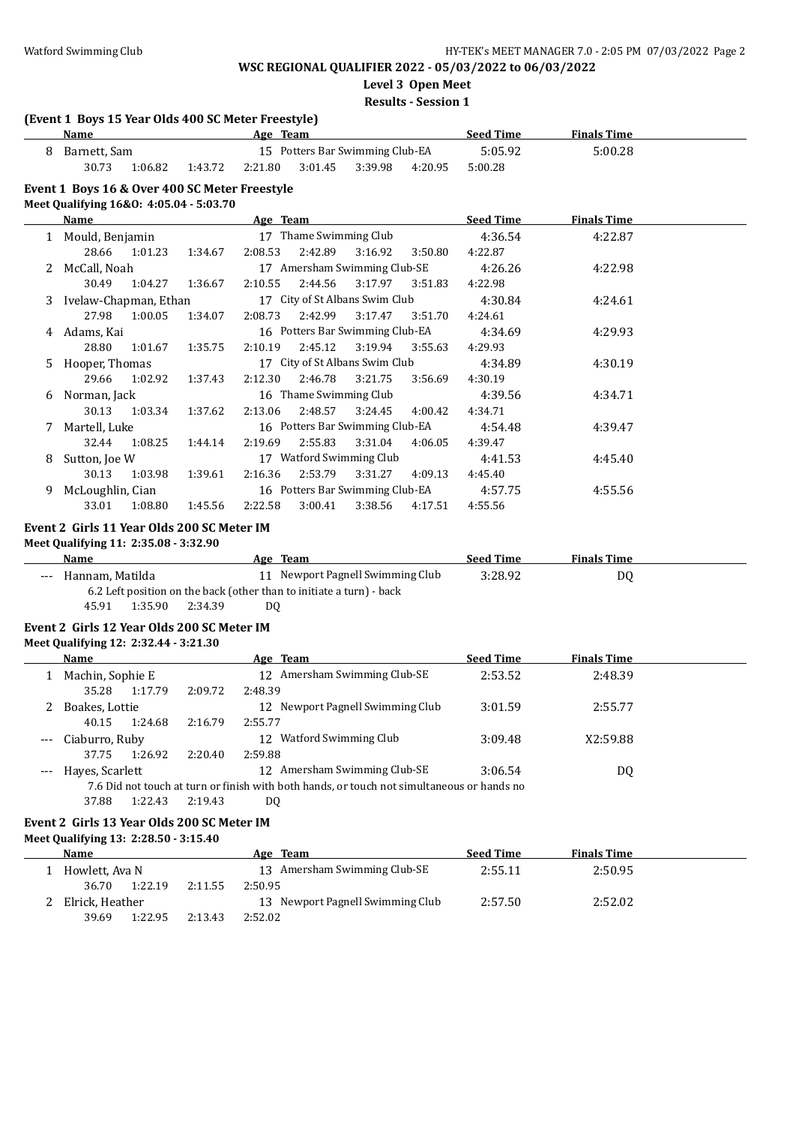**Level 3 Open Meet**

#### **Results - Session 1**

## **(Event 1 Boys 15 Year Olds 400 SC Meter Freestyle)**

|  | Name                                                                                     |         |         | Age Team |         |                                 |         | <b>Seed Time</b> | <b>Finals Time</b> |  |
|--|------------------------------------------------------------------------------------------|---------|---------|----------|---------|---------------------------------|---------|------------------|--------------------|--|
|  | Barnett. Sam                                                                             |         |         |          |         | 15 Potters Bar Swimming Club-EA |         | 5:05.92          | 5:00.28            |  |
|  | 30.73                                                                                    | 1:06.82 | 1:43.72 | 2:21.80  | 3:01.45 | 3:39.98                         | 4:20.95 | 5:00.28          |                    |  |
|  | Event 1 Boys 16 & Over 400 SC Meter Freestyle<br>Meet Qualifying 16&0: 4:05.04 - 5:03.70 |         |         |          |         |                                 |         |                  |                    |  |
|  |                                                                                          |         |         |          |         |                                 |         | - ---            | _____              |  |

|    | Name                  |         |         | Age Team |                        |                                 |         | <b>Seed Time</b> | <b>Finals Time</b> |  |
|----|-----------------------|---------|---------|----------|------------------------|---------------------------------|---------|------------------|--------------------|--|
|    | Mould, Benjamin       |         |         |          | 17 Thame Swimming Club |                                 |         | 4:36.54          | 4:22.87            |  |
|    | 28.66                 | 1:01.23 | 1:34.67 | 2:08.53  | 2:42.89                | 3:16.92                         | 3:50.80 | 4:22.87          |                    |  |
|    | McCall, Noah          |         |         |          |                        | 17 Amersham Swimming Club-SE    |         | 4:26.26          | 4:22.98            |  |
|    | 30.49                 | 1:04.27 | 1:36.67 | 2:10.55  | 2:44.56                | 3:17.97                         | 3:51.83 | 4:22.98          |                    |  |
| 3. | Ivelaw-Chapman, Ethan |         |         |          |                        | 17 City of St Albans Swim Club  |         | 4:30.84          | 4:24.61            |  |
|    | 27.98                 | 1:00.05 | 1:34.07 | 2:08.73  | 2:42.99                | 3:17.47                         | 3:51.70 | 4:24.61          |                    |  |
| 4  | Adams, Kai            |         |         |          |                        | 16 Potters Bar Swimming Club-EA |         | 4:34.69          | 4:29.93            |  |
|    | 28.80                 | 1:01.67 | 1:35.75 | 2:10.19  | 2:45.12                | 3:19.94                         | 3:55.63 | 4:29.93          |                    |  |
| 5. | Hooper, Thomas        |         |         |          |                        | 17 City of St Albans Swim Club  |         | 4:34.89          | 4:30.19            |  |
|    | 29.66                 | 1:02.92 | 1:37.43 | 2:12.30  | 2:46.78                | 3:21.75                         | 3:56.69 | 4:30.19          |                    |  |
| 6  | Norman, Jack          |         |         |          | 16 Thame Swimming Club |                                 |         | 4:39.56          | 4:34.71            |  |
|    | 30.13                 | 1:03.34 | 1:37.62 | 2:13.06  | 2:48.57                | 3:24.45                         | 4:00.42 | 4:34.71          |                    |  |
|    | Martell, Luke         |         |         |          |                        | 16 Potters Bar Swimming Club-EA |         | 4:54.48          | 4:39.47            |  |
|    | 32.44                 | 1:08.25 | 1:44.14 | 2:19.69  | 2:55.83                | 3:31.04                         | 4:06.05 | 4:39.47          |                    |  |
| 8  | Sutton, Joe W         |         |         |          |                        | 17 Watford Swimming Club        |         | 4:41.53          | 4:45.40            |  |
|    | 30.13                 | 1:03.98 | 1:39.61 | 2:16.36  | 2:53.79                | 3:31.27                         | 4:09.13 | 4:45.40          |                    |  |
| 9  | McLoughlin, Cian      |         |         |          |                        | 16 Potters Bar Swimming Club-EA |         | 4:57.75          | 4:55.56            |  |
|    | 33.01                 | 1:08.80 | 1:45.56 | 2:22.58  | 3:00.41                | 3:38.56                         | 4:17.51 | 4:55.56          |                    |  |

#### **Event 2 Girls 11 Year Olds 200 SC Meter IM**

**Meet Qualifying 11: 2:35.08 - 3:32.90**

| Name                        | Age Team                                                             | <b>Seed Time</b> | <b>Finals Time</b> |  |
|-----------------------------|----------------------------------------------------------------------|------------------|--------------------|--|
| Hannam, Matilda<br>$---$    | 11 Newport Pagnell Swimming Club                                     | 3:28.92          | D0                 |  |
|                             | 6.2 Left position on the back (other than to initiate a turn) - back |                  |                    |  |
| 1:35.90<br>2:34.39<br>45.91 | DO                                                                   |                  |                    |  |

#### **Event 2 Girls 12 Year Olds 200 SC Meter IM**

**Meet Qualifying 12: 2:32.44 - 3:21.30**

|       | Name             |         | Age Team                                                                                   | <b>Seed Time</b> | <b>Finals Time</b> |  |
|-------|------------------|---------|--------------------------------------------------------------------------------------------|------------------|--------------------|--|
|       | Machin, Sophie E |         | 12 Amersham Swimming Club-SE                                                               | 2:53.52          | 2:48.39            |  |
|       | 1:17.79<br>35.28 | 2:09.72 | 2:48.39                                                                                    |                  |                    |  |
| 2     | Boakes, Lottie   |         | 12 Newport Pagnell Swimming Club                                                           | 3:01.59          | 2:55.77            |  |
|       | 1:24.68<br>40.15 | 2:16.79 | 2:55.77                                                                                    |                  |                    |  |
| $---$ | Ciaburro, Ruby   |         | Watford Swimming Club<br>12                                                                | 3:09.48          | X2:59.88           |  |
|       | 1:26.92<br>37.75 | 2:20.40 | 2:59.88                                                                                    |                  |                    |  |
| $---$ | Haves, Scarlett  |         | 12 Amersham Swimming Club-SE                                                               | 3:06.54          | DQ                 |  |
|       |                  |         | 7.6 Did not touch at turn or finish with both hands, or touch not simultaneous or hands no |                  |                    |  |
|       | 37.88<br>1:22.43 | 2:19.43 | DO                                                                                         |                  |                    |  |

#### **Event 2 Girls 13 Year Olds 200 SC Meter IM Meet Qualifying 13: 2:28.50 - 3:15.40**

| Name            |         |         | Age Team                         | <b>Seed Time</b> | <b>Finals Time</b> |  |
|-----------------|---------|---------|----------------------------------|------------------|--------------------|--|
| Howlett, Ava N  |         |         | 13 Amersham Swimming Club-SE     | 2:55.11          | 2:50.95            |  |
| 36.70           | 1:22.19 | 2:11.55 | 2:50.95                          |                  |                    |  |
| Elrick, Heather |         |         | 13 Newport Pagnell Swimming Club | 2:57.50          | 2:52.02            |  |
| 39.69           | 1:22.95 | 2:13.43 | 2:52.02                          |                  |                    |  |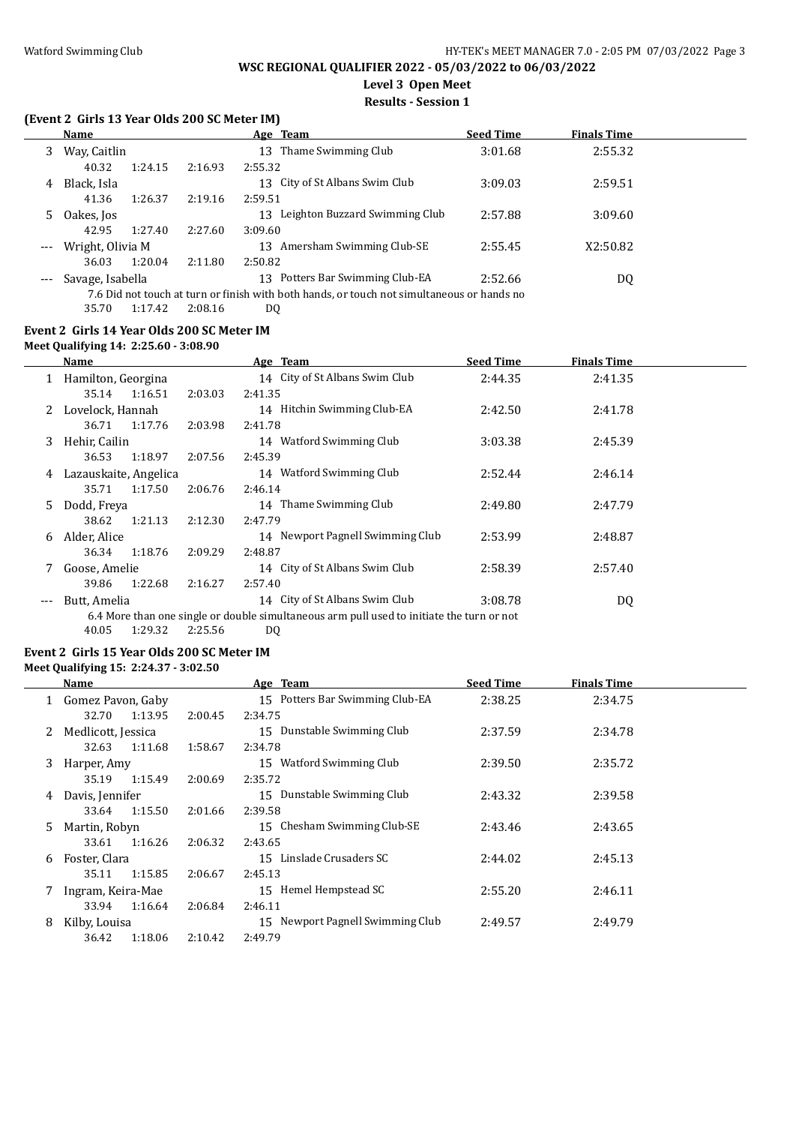# **Level 3 Open Meet**

#### **Results - Session 1**

# **(Event 2 Girls 13 Year Olds 200 SC Meter IM)**

|     | <b>Name</b>      |         |         | Age Team                                                                                   | <b>Seed Time</b> | <b>Finals Time</b> |  |
|-----|------------------|---------|---------|--------------------------------------------------------------------------------------------|------------------|--------------------|--|
| 3   | Way, Caitlin     |         |         | Thame Swimming Club<br>13                                                                  | 3:01.68          | 2:55.32            |  |
|     | 40.32            | 1:24.15 | 2:16.93 | 2:55.32                                                                                    |                  |                    |  |
| 4   | Black, Isla      |         |         | 13 City of St Albans Swim Club                                                             | 3:09.03          | 2:59.51            |  |
|     | 41.36            | 1:26.37 | 2:19.16 | 2:59.51                                                                                    |                  |                    |  |
| 5.  | Oakes, Jos       |         |         | Leighton Buzzard Swimming Club<br>13                                                       | 2:57.88          | 3:09.60            |  |
|     | 42.95            | 1:27.40 | 2:27.60 | 3:09.60                                                                                    |                  |                    |  |
| --- | Wright, Olivia M |         |         | Amersham Swimming Club-SE<br>13                                                            | 2:55.45          | X2:50.82           |  |
|     | 36.03            | 1:20.04 | 2:11.80 | 2:50.82                                                                                    |                  |                    |  |
|     | Savage, Isabella |         |         | Potters Bar Swimming Club-EA<br>13                                                         | 2:52.66          | DQ                 |  |
|     |                  |         |         | 7.6 Did not touch at turn or finish with both hands, or touch not simultaneous or hands no |                  |                    |  |
|     | 35.70            | 1:17.42 | 2:08.16 | DQ                                                                                         |                  |                    |  |

#### **Event 2 Girls 14 Year Olds 200 SC Meter IM**

**Meet Qualifying 14: 2:25.60 - 3:08.90**

 $\overline{a}$ 

|     | <b>Name</b>           |         | Age Team                                                                                  | <b>Seed Time</b> | <b>Finals Time</b> |
|-----|-----------------------|---------|-------------------------------------------------------------------------------------------|------------------|--------------------|
|     | Hamilton, Georgina    |         | 14 City of St Albans Swim Club                                                            | 2:44.35          | 2:41.35            |
|     | 35.14<br>1:16.51      | 2:03.03 | 2:41.35                                                                                   |                  |                    |
| 2   | Lovelock, Hannah      |         | 14 Hitchin Swimming Club-EA                                                               | 2:42.50          | 2:41.78            |
|     | 1:17.76<br>36.71      | 2:03.98 | 2:41.78                                                                                   |                  |                    |
| 3   | Hehir, Cailin         |         | 14 Watford Swimming Club                                                                  | 3:03.38          | 2:45.39            |
|     | 1:18.97<br>36.53      | 2:07.56 | 2:45.39                                                                                   |                  |                    |
| 4   | Lazauskaite, Angelica |         | 14 Watford Swimming Club                                                                  | 2:52.44          | 2:46.14            |
|     | 35.71<br>1:17.50      | 2:06.76 | 2:46.14                                                                                   |                  |                    |
| 5.  | Dodd, Freya           |         | Thame Swimming Club<br>14                                                                 | 2:49.80          | 2:47.79            |
|     | 1:21.13<br>38.62      | 2:12.30 | 2:47.79                                                                                   |                  |                    |
| 6.  | Alder, Alice          |         | 14 Newport Pagnell Swimming Club                                                          | 2:53.99          | 2:48.87            |
|     | 1:18.76<br>36.34      | 2:09.29 | 2:48.87                                                                                   |                  |                    |
|     | Goose, Amelie         |         | 14 City of St Albans Swim Club                                                            | 2:58.39          | 2:57.40            |
|     | 1:22.68<br>39.86      | 2:16.27 | 2:57.40                                                                                   |                  |                    |
| --- | Butt, Amelia          |         | 14 City of St Albans Swim Club                                                            | 3:08.78          | DQ                 |
|     |                       |         | 6.4 More than one single or double simultaneous arm pull used to initiate the turn or not |                  |                    |
|     | 40.05<br>1:29.32      | 2:25.56 | D <sub>0</sub>                                                                            |                  |                    |

# **Event 2 Girls 15 Year Olds 200 SC Meter IM**

## **Meet Qualifying 15: 2:24.37 - 3:02.50**

| Name |                    |         | Age Team                           | <b>Seed Time</b> | <b>Finals Time</b> |  |
|------|--------------------|---------|------------------------------------|------------------|--------------------|--|
|      | Gomez Pavon, Gaby  |         | Potters Bar Swimming Club-EA<br>15 | 2:38.25          | 2:34.75            |  |
|      | 32.70<br>1:13.95   | 2:00.45 | 2:34.75                            |                  |                    |  |
|      | Medlicott, Jessica |         | Dunstable Swimming Club<br>15      | 2:37.59          | 2:34.78            |  |
|      | 32.63<br>1:11.68   | 1:58.67 | 2:34.78                            |                  |                    |  |
| 3    | Harper, Amy        |         | Watford Swimming Club<br>15        | 2:39.50          | 2:35.72            |  |
|      | 35.19<br>1:15.49   | 2:00.69 | 2:35.72                            |                  |                    |  |
| 4    | Davis, Jennifer    |         | Dunstable Swimming Club<br>15      | 2:43.32          | 2:39.58            |  |
|      | 1:15.50<br>33.64   | 2:01.66 | 2:39.58                            |                  |                    |  |
| 5.   | Martin, Robyn      |         | Chesham Swimming Club-SE<br>15     | 2:43.46          | 2:43.65            |  |
|      | 33.61<br>1:16.26   | 2:06.32 | 2:43.65                            |                  |                    |  |
| 6    | Foster, Clara      |         | Linslade Crusaders SC<br>15        | 2:44.02          | 2:45.13            |  |
|      | 1:15.85<br>35.11   | 2:06.67 | 2:45.13                            |                  |                    |  |
|      | Ingram, Keira-Mae  |         | Hemel Hempstead SC<br>15           | 2:55.20          | 2:46.11            |  |
|      | 33.94<br>1:16.64   | 2:06.84 | 2:46.11                            |                  |                    |  |
| 8    | Kilby, Louisa      |         | 15 Newport Pagnell Swimming Club   | 2:49.57          | 2:49.79            |  |
|      | 1:18.06<br>36.42   | 2:10.42 | 2:49.79                            |                  |                    |  |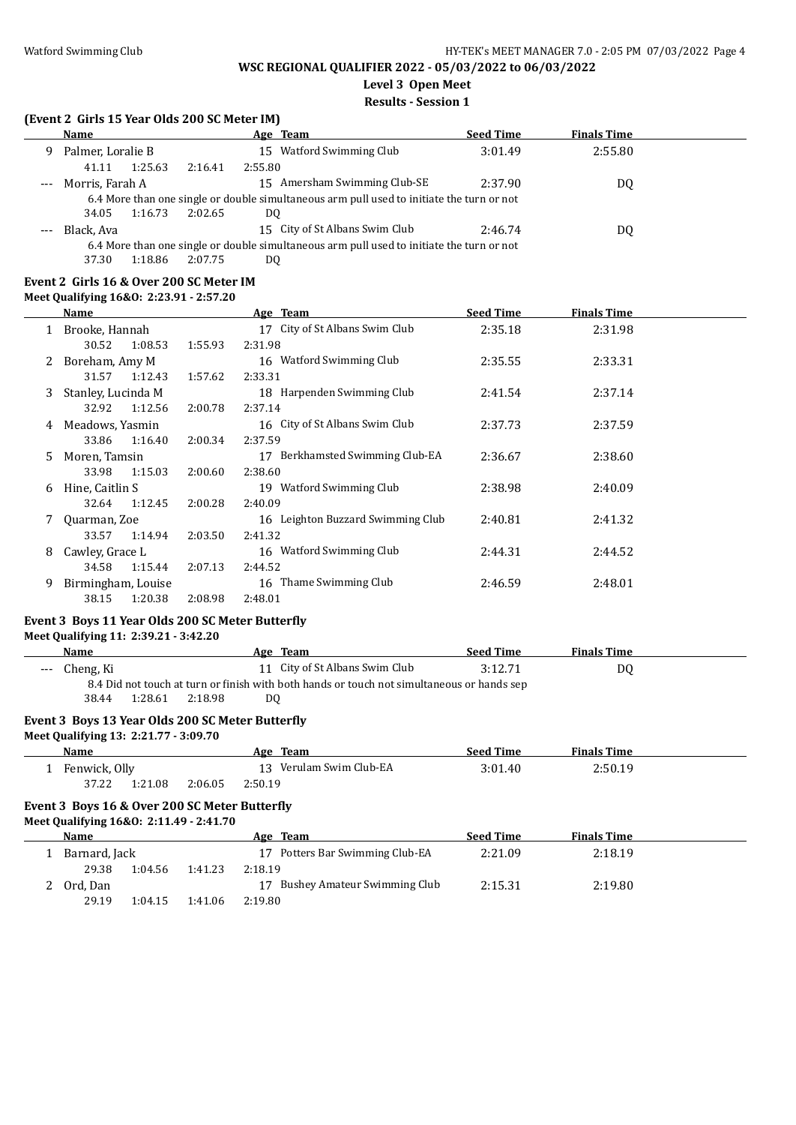# **Level 3 Open Meet**

## **Results - Session 1**

## **(Event 2 Girls 15 Year Olds 200 SC Meter IM)**

|                                                                                           | <b>Name</b>       |         |         | Age Team                                                                                  | <b>Seed Time</b> | <b>Finals Time</b> |  |
|-------------------------------------------------------------------------------------------|-------------------|---------|---------|-------------------------------------------------------------------------------------------|------------------|--------------------|--|
| 9                                                                                         | Palmer, Loralie B |         |         | 15 Watford Swimming Club                                                                  | 3:01.49          | 2:55.80            |  |
|                                                                                           | 41.11             | 1:25.63 | 2:16.41 | 2:55.80                                                                                   |                  |                    |  |
|                                                                                           | Morris, Farah A   |         |         | 15 Amersham Swimming Club-SE                                                              | 2:37.90          | DQ                 |  |
| 6.4 More than one single or double simultaneous arm pull used to initiate the turn or not |                   |         |         |                                                                                           |                  |                    |  |
|                                                                                           | 34.05             | 1:16.73 | 2:02.65 | DO                                                                                        |                  |                    |  |
|                                                                                           | Black, Ava        |         |         | 15 City of St Albans Swim Club                                                            | 2:46.74          | DQ                 |  |
|                                                                                           |                   |         |         | 6.4 More than one single or double simultaneous arm pull used to initiate the turn or not |                  |                    |  |
|                                                                                           |                   |         |         |                                                                                           |                  |                    |  |

37.30 1:18.86 2:07.75 DQ

#### **Event 2 Girls 16 & Over 200 SC Meter IM Meet Qualifying 16&O: 2:23.91 - 2:57.20**

|    | Name               |         | Age Team                           | <b>Seed Time</b> | <b>Finals Time</b> |  |
|----|--------------------|---------|------------------------------------|------------------|--------------------|--|
|    | Brooke, Hannah     |         | 17 City of St Albans Swim Club     | 2:35.18          | 2:31.98            |  |
|    | 1:08.53<br>30.52   | 1:55.93 | 2:31.98                            |                  |                    |  |
|    | Boreham, Amy M     |         | 16 Watford Swimming Club           | 2:35.55          | 2:33.31            |  |
|    | 31.57<br>1:12.43   | 1:57.62 | 2:33.31                            |                  |                    |  |
| 3  | Stanley, Lucinda M |         | 18 Harpenden Swimming Club         | 2:41.54          | 2:37.14            |  |
|    | 1:12.56<br>32.92   | 2:00.78 | 2:37.14                            |                  |                    |  |
| 4  | Meadows, Yasmin    |         | 16 City of St Albans Swim Club     | 2:37.73          | 2:37.59            |  |
|    | 1:16.40<br>33.86   | 2:00.34 | 2:37.59                            |                  |                    |  |
| 5. | Moren, Tamsin      |         | Berkhamsted Swimming Club-EA<br>17 | 2:36.67          | 2:38.60            |  |
|    | 1:15.03<br>33.98   | 2:00.60 | 2:38.60                            |                  |                    |  |
| 6  | Hine, Caitlin S    |         | Watford Swimming Club<br>19        | 2:38.98          | 2:40.09            |  |
|    | 1:12.45<br>32.64   | 2:00.28 | 2:40.09                            |                  |                    |  |
|    | Quarman, Zoe       |         | 16 Leighton Buzzard Swimming Club  | 2:40.81          | 2:41.32            |  |
|    | 33.57<br>1:14.94   | 2:03.50 | 2:41.32                            |                  |                    |  |
| 8  | Cawley, Grace L    |         | 16 Watford Swimming Club           | 2:44.31          | 2:44.52            |  |
|    | 1:15.44<br>34.58   | 2:07.13 | 2:44.52                            |                  |                    |  |
| 9. | Birmingham, Louise |         | Thame Swimming Club<br>16          | 2:46.59          | 2:48.01            |  |
|    | 1:20.38<br>38.15   | 2:08.98 | 2:48.01                            |                  |                    |  |

# **Event 3 Boys 11 Year Olds 200 SC Meter Butterfly**

**Meet Qualifying 11: 2:39.21 - 3:42.20**

**Name Age Team Seed Time Finals Time** --- Cheng, Ki 11 City of St Albans Swim Club 3:12.71 DQ 8.4 Did not touch at turn or finish with both hands or touch not simultaneous or hands sep 38.44 1:28.61 2:18.98 DQ

#### **Event 3 Boys 13 Year Olds 200 SC Meter Butterfly**

**Meet Qualifying 13: 2:21.77 - 3:09.70**

| <b>Name</b>   |         |         |         | Age Team                | <b>Seed Time</b> | <b>Finals Time</b> |  |
|---------------|---------|---------|---------|-------------------------|------------------|--------------------|--|
| Fenwick, Olly |         |         |         | 13 Verulam Swim Club-EA | 3:01.40          | 2:50.19            |  |
| 37.22         | 1:21.08 | 2:06.05 | 2:50.19 |                         |                  |                    |  |

#### **Event 3 Boys 16 & Over 200 SC Meter Butterfly**

**Meet Qualifying 16&O: 2:11.49 - 2:41.70**

| Name          |         |         | Team<br>Age                     | <b>Seed Time</b> | <b>Finals Time</b> |  |
|---------------|---------|---------|---------------------------------|------------------|--------------------|--|
| Barnard, Jack |         |         | 17 Potters Bar Swimming Club-EA | 2:21.09          | 2:18.19            |  |
| 29.38         | 1:04.56 | 1:41.23 | 2:18.19                         |                  |                    |  |
| Ord. Dan      |         |         | 17 Bushey Amateur Swimming Club | 2:15.31          | 2:19.80            |  |
| 29.19         | 1:04.15 | 1:41.06 | 2:19.80                         |                  |                    |  |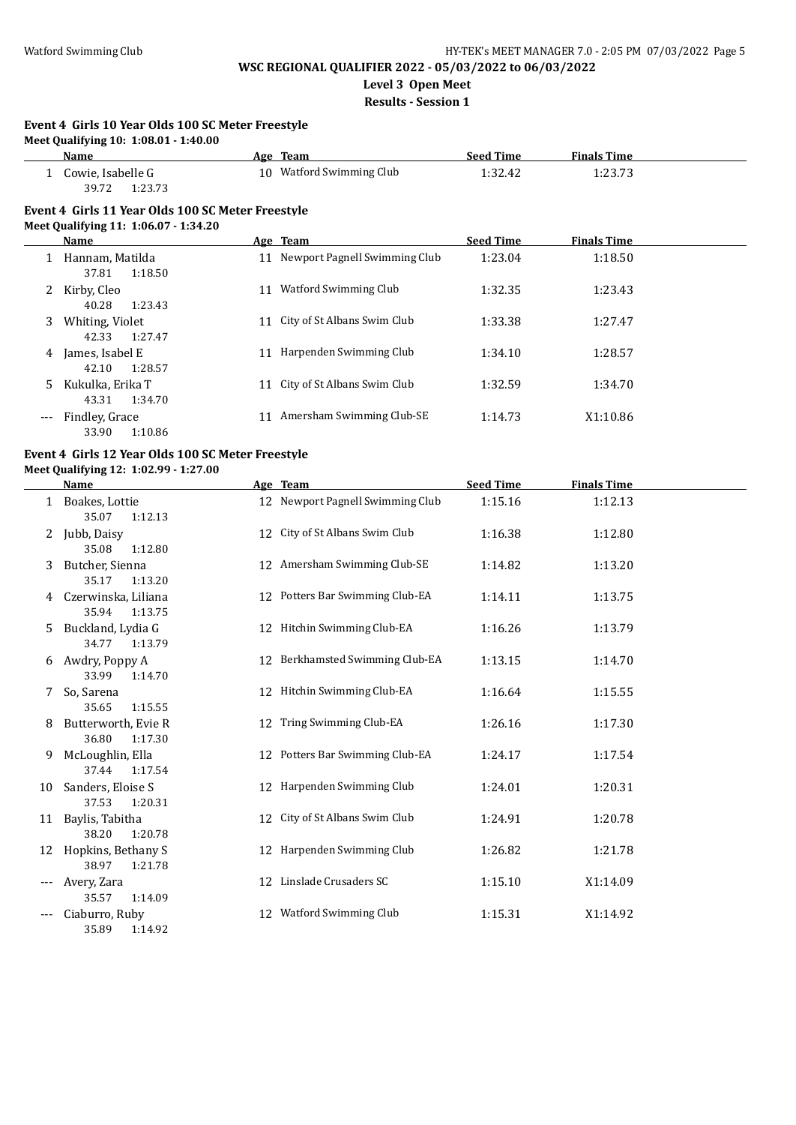**Level 3 Open Meet**

**Results - Session 1**

#### **Event 4 Girls 10 Year Olds 100 SC Meter Freestyle Meet Qualifying 10: 1:08.01 - 1:40.00**

|     | <b>Name</b>                                                                                |    | Age Team                       | <b>Seed Time</b> | <b>Finals Time</b> |  |
|-----|--------------------------------------------------------------------------------------------|----|--------------------------------|------------------|--------------------|--|
|     | Cowie, Isabelle G<br>39.72<br>1:23.73                                                      |    | 10 Watford Swimming Club       | 1:32.42          | 1:23.73            |  |
|     | Event 4 Girls 11 Year Olds 100 SC Meter Freestyle<br>Meet Qualifying 11: 1:06.07 - 1:34.20 |    |                                |                  |                    |  |
|     | Name                                                                                       |    | Age Team                       | <b>Seed Time</b> | <b>Finals Time</b> |  |
|     | Hannam, Matilda<br>37.81<br>1:18.50                                                        | 11 | Newport Pagnell Swimming Club  | 1:23.04          | 1:18.50            |  |
| 2   | Kirby, Cleo<br>40.28<br>1:23.43                                                            | 11 | Watford Swimming Club          | 1:32.35          | 1:23.43            |  |
| 3   | Whiting, Violet<br>1:27.47<br>42.33                                                        |    | 11 City of St Albans Swim Club | 1:33.38          | 1:27.47            |  |
| 4   | James, Isabel E<br>1:28.57<br>42.10                                                        | 11 | Harpenden Swimming Club        | 1:34.10          | 1:28.57            |  |
| 5   | Kukulka, Erika T<br>1:34.70<br>43.31                                                       |    | 11 City of St Albans Swim Club | 1:32.59          | 1:34.70            |  |
| --- | Findley, Grace<br>1:10.86<br>33.90                                                         | 11 | Amersham Swimming Club-SE      | 1:14.73          | X1:10.86           |  |

#### **Event 4 Girls 12 Year Olds 100 SC Meter Freestyle Meet Qualifying 12: 1:02.99 - 1:27.00**

|    | Name                                    |    | Age Team                         | <b>Seed Time</b> | <b>Finals Time</b> |  |
|----|-----------------------------------------|----|----------------------------------|------------------|--------------------|--|
|    | Boakes, Lottie<br>35.07<br>1:12.13      |    | 12 Newport Pagnell Swimming Club | 1:15.16          | 1:12.13            |  |
|    | 2 Jubb, Daisy<br>35.08<br>1:12.80       |    | 12 City of St Albans Swim Club   | 1:16.38          | 1:12.80            |  |
| 3  | Butcher, Sienna<br>35.17<br>1:13.20     |    | 12 Amersham Swimming Club-SE     | 1:14.82          | 1:13.20            |  |
| 4  | Czerwinska, Liliana<br>35.94<br>1:13.75 |    | 12 Potters Bar Swimming Club-EA  | 1:14.11          | 1:13.75            |  |
| 5  | Buckland, Lydia G<br>34.77<br>1:13.79   |    | 12 Hitchin Swimming Club-EA      | 1:16.26          | 1:13.79            |  |
| 6  | Awdry, Poppy A<br>33.99<br>1:14.70      |    | 12 Berkhamsted Swimming Club-EA  | 1:13.15          | 1:14.70            |  |
|    | So, Sarena<br>35.65<br>1:15.55          |    | 12 Hitchin Swimming Club-EA      | 1:16.64          | 1:15.55            |  |
| 8  | Butterworth, Evie R<br>36.80<br>1:17.30 |    | 12 Tring Swimming Club-EA        | 1:26.16          | 1:17.30            |  |
| 9  | McLoughlin, Ella<br>37.44<br>1:17.54    |    | 12 Potters Bar Swimming Club-EA  | 1:24.17          | 1:17.54            |  |
| 10 | Sanders, Eloise S<br>37.53<br>1:20.31   |    | 12 Harpenden Swimming Club       | 1:24.01          | 1:20.31            |  |
| 11 | Baylis, Tabitha<br>38.20<br>1:20.78     |    | 12 City of St Albans Swim Club   | 1:24.91          | 1:20.78            |  |
| 12 | Hopkins, Bethany S<br>38.97<br>1:21.78  |    | 12 Harpenden Swimming Club       | 1:26.82          | 1:21.78            |  |
|    | Avery, Zara<br>35.57<br>1:14.09         | 12 | Linslade Crusaders SC            | 1:15.10          | X1:14.09           |  |
|    | Ciaburro, Ruby<br>35.89<br>1:14.92      | 12 | <b>Watford Swimming Club</b>     | 1:15.31          | X1:14.92           |  |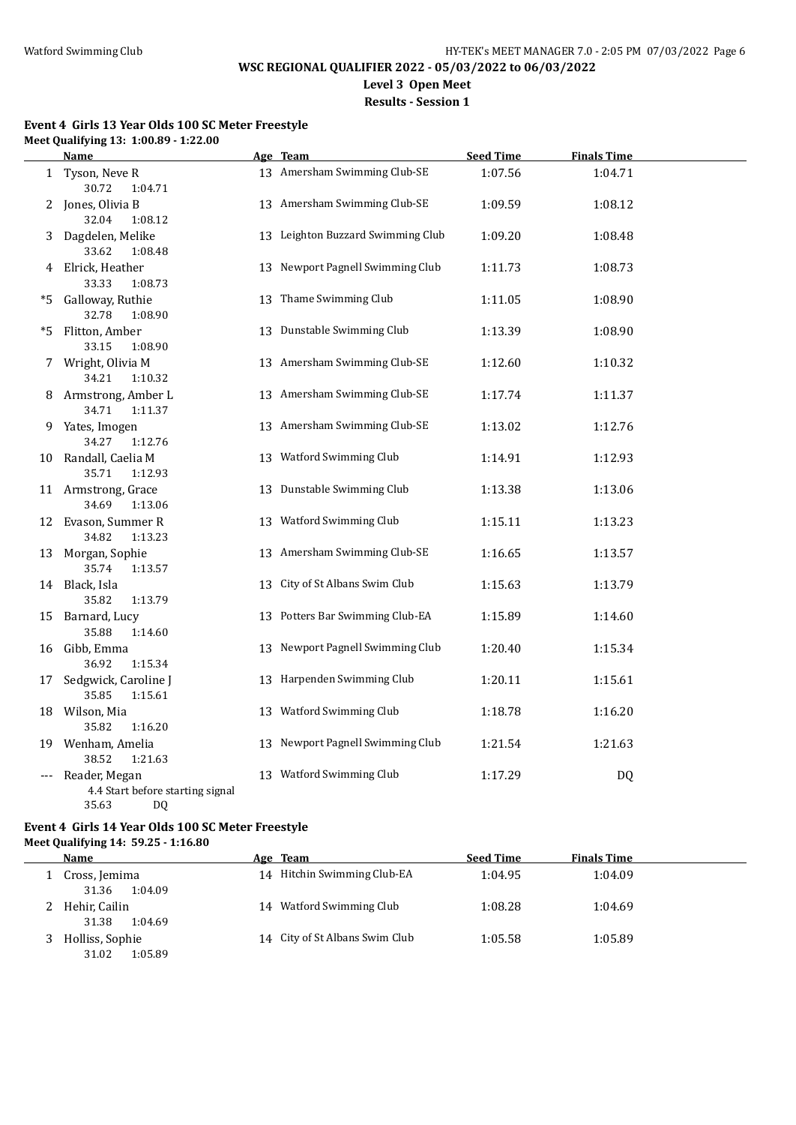# **Results - Session 1**

#### **Event 4 Girls 13 Year Olds 100 SC Meter Freestyle Meet Qualifying 13: 1:00.89 - 1:22.00**

|     | <u>Name</u>                                                      | Age Team                          | <b>Seed Time</b> | <b>Finals Time</b> |  |
|-----|------------------------------------------------------------------|-----------------------------------|------------------|--------------------|--|
|     | 1 Tyson, Neve R<br>30.72<br>1:04.71                              | 13 Amersham Swimming Club-SE      | 1:07.56          | 1:04.71            |  |
|     | 2 Jones, Olivia B<br>32.04<br>1:08.12                            | 13 Amersham Swimming Club-SE      | 1:09.59          | 1:08.12            |  |
| 3.  | Dagdelen, Melike<br>33.62<br>1:08.48                             | 13 Leighton Buzzard Swimming Club | 1:09.20          | 1:08.48            |  |
|     | 4 Elrick, Heather<br>33.33<br>1:08.73                            | 13 Newport Pagnell Swimming Club  | 1:11.73          | 1:08.73            |  |
| *5. | Galloway, Ruthie<br>32.78<br>1:08.90                             | 13 Thame Swimming Club            | 1:11.05          | 1:08.90            |  |
|     | *5 Flitton, Amber<br>33.15<br>1:08.90                            | 13 Dunstable Swimming Club        | 1:13.39          | 1:08.90            |  |
|     | 7 Wright, Olivia M<br>34.21<br>1:10.32                           | 13 Amersham Swimming Club-SE      | 1:12.60          | 1:10.32            |  |
| 8   | Armstrong, Amber L<br>34.71<br>1:11.37                           | 13 Amersham Swimming Club-SE      | 1:17.74          | 1:11.37            |  |
| 9.  | Yates, Imogen<br>34.27<br>1:12.76                                | 13 Amersham Swimming Club-SE      | 1:13.02          | 1:12.76            |  |
|     | 10 Randall, Caelia M<br>35.71<br>1:12.93                         | 13 Watford Swimming Club          | 1:14.91          | 1:12.93            |  |
|     | 11 Armstrong, Grace<br>34.69<br>1:13.06                          | 13 Dunstable Swimming Club        | 1:13.38          | 1:13.06            |  |
|     | 12 Evason, Summer R<br>34.82<br>1:13.23                          | 13 Watford Swimming Club          | 1:15.11          | 1:13.23            |  |
|     | 13 Morgan, Sophie<br>35.74<br>1:13.57                            | 13 Amersham Swimming Club-SE      | 1:16.65          | 1:13.57            |  |
|     | 14 Black, Isla<br>35.82<br>1:13.79                               | 13 City of St Albans Swim Club    | 1:15.63          | 1:13.79            |  |
|     | 15 Barnard, Lucy<br>35.88<br>1:14.60                             | 13 Potters Bar Swimming Club-EA   | 1:15.89          | 1:14.60            |  |
|     | 16 Gibb, Emma<br>36.92<br>1:15.34                                | 13 Newport Pagnell Swimming Club  | 1:20.40          | 1:15.34            |  |
| 17  | Sedgwick, Caroline J<br>35.85<br>1:15.61                         | 13 Harpenden Swimming Club        | 1:20.11          | 1:15.61            |  |
|     | 18 Wilson, Mia<br>35.82<br>1:16.20                               | 13 Watford Swimming Club          | 1:18.78          | 1:16.20            |  |
|     | 19 Wenham, Amelia<br>38.52<br>1:21.63                            | 13 Newport Pagnell Swimming Club  | 1:21.54          | 1:21.63            |  |
| --- | Reader, Megan<br>4.4 Start before starting signal<br>35.63<br>DQ | 13 Watford Swimming Club          | 1:17.29          | <b>DQ</b>          |  |

#### **Event 4 Girls 14 Year Olds 100 SC Meter Freestyle Meet Qualifying 14: 59.25 - 1:16.80**

| Name                                | Age Team                       | <b>Seed Time</b> | <b>Finals Time</b> |  |
|-------------------------------------|--------------------------------|------------------|--------------------|--|
| Cross, Jemima<br>1:04.09<br>31.36   | 14 Hitchin Swimming Club-EA    | 1:04.95          | 1:04.09            |  |
| Hehir, Cailin<br>31.38<br>1:04.69   | 14 Watford Swimming Club       | 1:08.28          | 1:04.69            |  |
| Holliss, Sophie<br>1:05.89<br>31.02 | 14 City of St Albans Swim Club | 1:05.58          | 1:05.89            |  |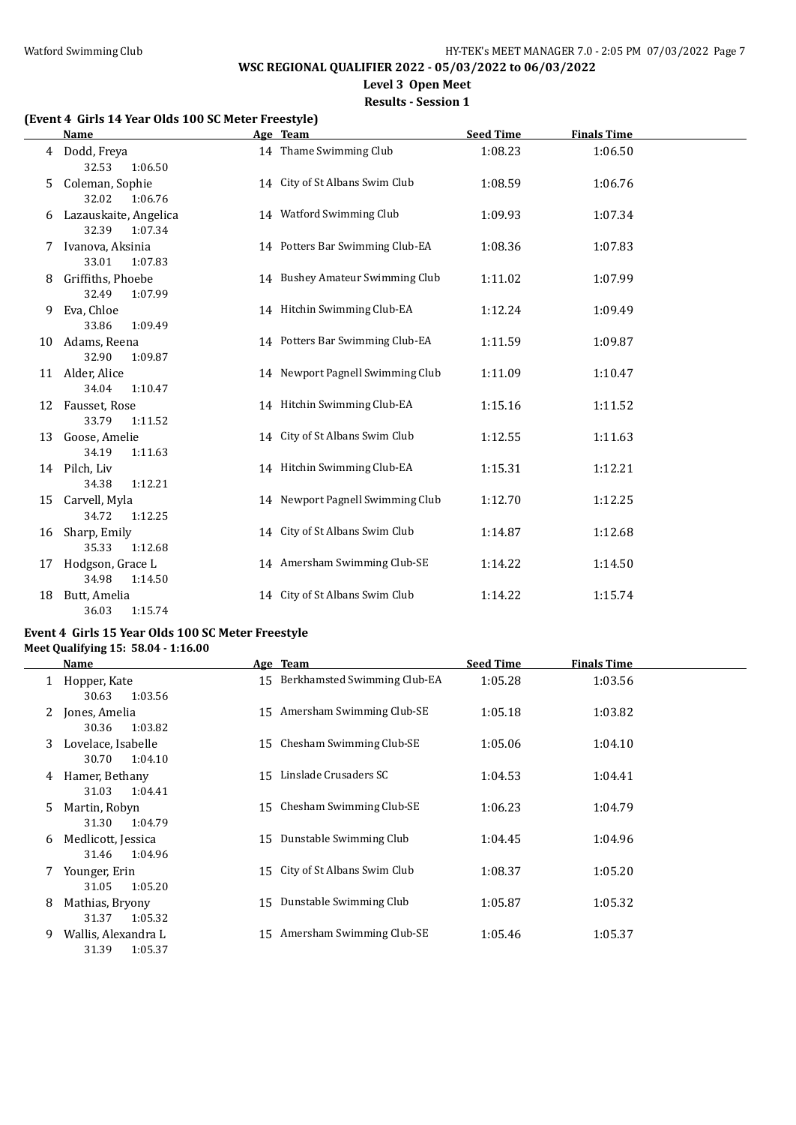**Level 3 Open Meet**

# **Results - Session 1**

# **(Event 4 Girls 14 Year Olds 100 SC Meter Freestyle)**

|    | Name                                      | Age Team                         | <b>Seed Time</b> | <b>Finals Time</b> |  |
|----|-------------------------------------------|----------------------------------|------------------|--------------------|--|
|    | 4 Dodd, Freya<br>32.53<br>1:06.50         | 14 Thame Swimming Club           | 1:08.23          | 1:06.50            |  |
| 5. | Coleman, Sophie<br>32.02<br>1:06.76       | 14 City of St Albans Swim Club   | 1:08.59          | 1:06.76            |  |
| 6  | Lazauskaite, Angelica<br>32.39<br>1:07.34 | 14 Watford Swimming Club         | 1:09.93          | 1:07.34            |  |
|    | Ivanova, Aksinia<br>33.01<br>1:07.83      | 14 Potters Bar Swimming Club-EA  | 1:08.36          | 1:07.83            |  |
| 8  | Griffiths, Phoebe<br>32.49<br>1:07.99     | 14 Bushey Amateur Swimming Club  | 1:11.02          | 1:07.99            |  |
| 9  | Eva, Chloe<br>33.86<br>1:09.49            | 14 Hitchin Swimming Club-EA      | 1:12.24          | 1:09.49            |  |
| 10 | Adams, Reena<br>32.90<br>1:09.87          | 14 Potters Bar Swimming Club-EA  | 1:11.59          | 1:09.87            |  |
| 11 | Alder, Alice<br>34.04<br>1:10.47          | 14 Newport Pagnell Swimming Club | 1:11.09          | 1:10.47            |  |
| 12 | Fausset, Rose<br>33.79<br>1:11.52         | 14 Hitchin Swimming Club-EA      | 1:15.16          | 1:11.52            |  |
| 13 | Goose, Amelie<br>34.19<br>1:11.63         | 14 City of St Albans Swim Club   | 1:12.55          | 1:11.63            |  |
|    | 14 Pilch, Liv<br>34.38<br>1:12.21         | 14 Hitchin Swimming Club-EA      | 1:15.31          | 1:12.21            |  |
| 15 | Carvell, Myla<br>34.72<br>1:12.25         | 14 Newport Pagnell Swimming Club | 1:12.70          | 1:12.25            |  |
| 16 | Sharp, Emily<br>35.33<br>1:12.68          | 14 City of St Albans Swim Club   | 1:14.87          | 1:12.68            |  |
| 17 | Hodgson, Grace L<br>34.98<br>1:14.50      | 14 Amersham Swimming Club-SE     | 1:14.22          | 1:14.50            |  |
| 18 | Butt, Amelia<br>36.03<br>1:15.74          | 14 City of St Albans Swim Club   | 1:14.22          | 1:15.74            |  |

#### **Event 4 Girls 15 Year Olds 100 SC Meter Freestyle Meet Qualifying 15: 58.04 - 1:16.00**

|   | <b>Name</b>                                |    | Age Team                       | <b>Seed Time</b> | <b>Finals Time</b> |  |
|---|--------------------------------------------|----|--------------------------------|------------------|--------------------|--|
|   | Hopper, Kate<br>1:03.56                    | 15 | Berkhamsted Swimming Club-EA   | 1:05.28          | 1:03.56            |  |
| 2 | 30.63<br>Jones, Amelia<br>1:03.82<br>30.36 |    | 15 Amersham Swimming Club-SE   | 1:05.18          | 1:03.82            |  |
| 3 | Lovelace, Isabelle<br>1:04.10<br>30.70     | 15 | Chesham Swimming Club-SE       | 1:05.06          | 1:04.10            |  |
| 4 | Hamer, Bethany<br>31.03<br>1:04.41         | 15 | Linslade Crusaders SC          | 1:04.53          | 1:04.41            |  |
| 5 | Martin, Robyn<br>31.30<br>1:04.79          | 15 | Chesham Swimming Club-SE       | 1:06.23          | 1:04.79            |  |
| 6 | Medlicott, Jessica<br>1:04.96<br>31.46     | 15 | Dunstable Swimming Club        | 1:04.45          | 1:04.96            |  |
|   | Younger, Erin<br>1:05.20<br>31.05          |    | 15 City of St Albans Swim Club | 1:08.37          | 1:05.20            |  |
| 8 | Mathias, Bryony<br>31.37<br>1:05.32        | 15 | Dunstable Swimming Club        | 1:05.87          | 1:05.32            |  |
| 9 | Wallis, Alexandra L<br>31.39<br>1:05.37    |    | 15 Amersham Swimming Club-SE   | 1:05.46          | 1:05.37            |  |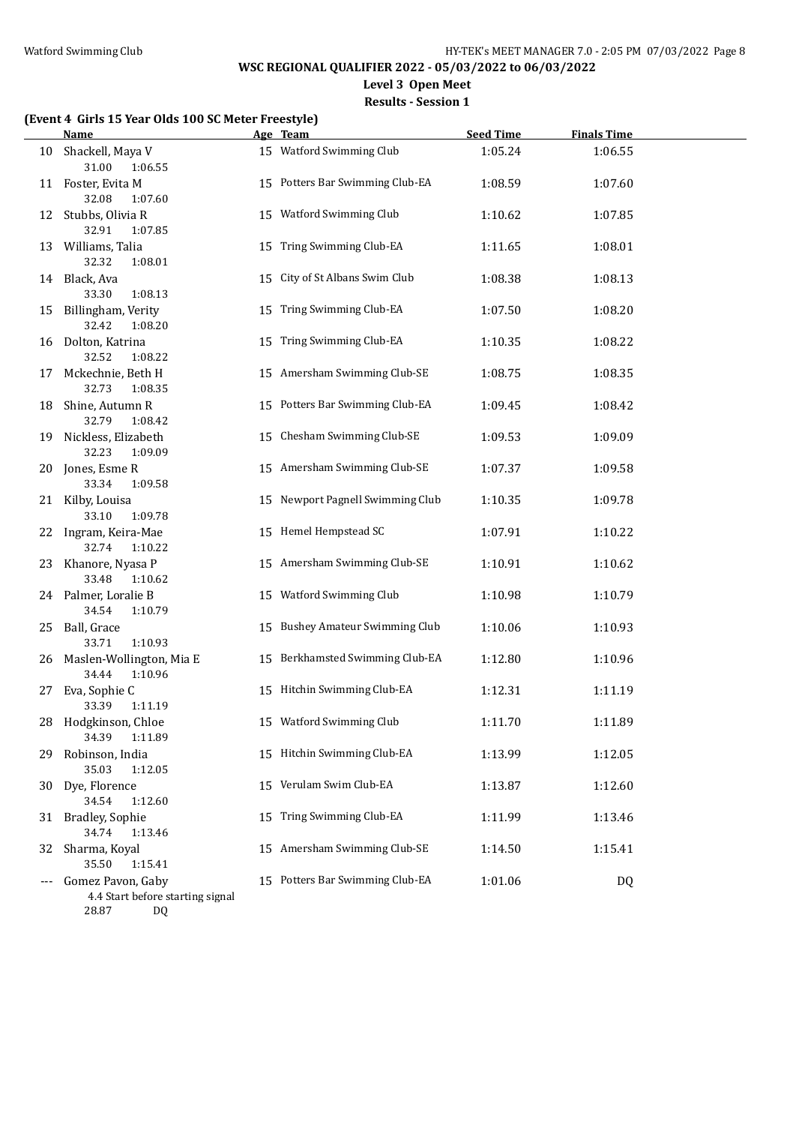**Level 3 Open Meet**

**Results - Session 1**

# **(Event 4 Girls 15 Year Olds 100 SC Meter Freestyle)**

|    | <b>Name</b>                                           |    | Age Team                         | <b>Seed Time</b> | <b>Finals Time</b> |  |
|----|-------------------------------------------------------|----|----------------------------------|------------------|--------------------|--|
|    | 10 Shackell, Maya V<br>31.00<br>1:06.55               |    | 15 Watford Swimming Club         | 1:05.24          | 1:06.55            |  |
|    | 11 Foster, Evita M<br>32.08<br>1:07.60                |    | 15 Potters Bar Swimming Club-EA  | 1:08.59          | 1:07.60            |  |
|    | 12 Stubbs, Olivia R<br>32.91<br>1:07.85               |    | 15 Watford Swimming Club         | 1:10.62          | 1:07.85            |  |
|    | 13 Williams, Talia<br>32.32<br>1:08.01                |    | 15 Tring Swimming Club-EA        | 1:11.65          | 1:08.01            |  |
|    | 14 Black, Ava<br>1:08.13<br>33.30                     |    | 15 City of St Albans Swim Club   | 1:08.38          | 1:08.13            |  |
|    | 15 Billingham, Verity<br>32.42<br>1:08.20             |    | 15 Tring Swimming Club-EA        | 1:07.50          | 1:08.20            |  |
|    | 16 Dolton, Katrina<br>32.52<br>1:08.22                |    | 15 Tring Swimming Club-EA        | 1:10.35          | 1:08.22            |  |
| 17 | Mckechnie, Beth H<br>32.73<br>1:08.35                 |    | 15 Amersham Swimming Club-SE     | 1:08.75          | 1:08.35            |  |
| 18 | Shine, Autumn R<br>32.79<br>1:08.42                   |    | 15 Potters Bar Swimming Club-EA  | 1:09.45          | 1:08.42            |  |
|    | 19 Nickless, Elizabeth<br>32.23<br>1:09.09            |    | 15 Chesham Swimming Club-SE      | 1:09.53          | 1:09.09            |  |
|    | 20 Jones, Esme R<br>33.34<br>1:09.58                  |    | 15 Amersham Swimming Club-SE     | 1:07.37          | 1:09.58            |  |
|    | 21 Kilby, Louisa<br>33.10<br>1:09.78                  |    | 15 Newport Pagnell Swimming Club | 1:10.35          | 1:09.78            |  |
|    | 22 Ingram, Keira-Mae<br>32.74<br>1:10.22              |    | 15 Hemel Hempstead SC            | 1:07.91          | 1:10.22            |  |
|    | 23 Khanore, Nyasa P<br>33.48<br>1:10.62               |    | 15 Amersham Swimming Club-SE     | 1:10.91          | 1:10.62            |  |
|    | 24 Palmer, Loralie B<br>34.54<br>1:10.79              |    | 15 Watford Swimming Club         | 1:10.98          | 1:10.79            |  |
|    | 25 Ball, Grace<br>33.71<br>1:10.93                    |    | 15 Bushey Amateur Swimming Club  | 1:10.06          | 1:10.93            |  |
|    | 26 Maslen-Wollington, Mia E<br>34.44<br>1:10.96       |    | 15 Berkhamsted Swimming Club-EA  | 1:12.80          | 1:10.96            |  |
|    | 27 Eva, Sophie C<br>33.39<br>1:11.19                  |    | 15 Hitchin Swimming Club-EA      | 1:12.31          | 1:11.19            |  |
|    | 28 Hodgkinson, Chloe<br>34.39<br>1:11.89              |    | 15 Watford Swimming Club         | 1:11.70          | 1:11.89            |  |
| 29 | Robinson, India<br>35.03<br>1:12.05                   |    | 15 Hitchin Swimming Club-EA      | 1:13.99          | 1:12.05            |  |
| 30 | Dye, Florence<br>34.54<br>1:12.60                     | 15 | Verulam Swim Club-EA             | 1:13.87          | 1:12.60            |  |
| 31 | <b>Bradley, Sophie</b><br>34.74<br>1:13.46            | 15 | Tring Swimming Club-EA           | 1:11.99          | 1:13.46            |  |
| 32 | Sharma, Koyal<br>35.50<br>1:15.41                     | 15 | Amersham Swimming Club-SE        | 1:14.50          | 1:15.41            |  |
|    | Gomez Pavon, Gaby<br>4.4 Start before starting signal |    | 15 Potters Bar Swimming Club-EA  | 1:01.06          | DQ                 |  |
|    | 28.87<br><b>DQ</b>                                    |    |                                  |                  |                    |  |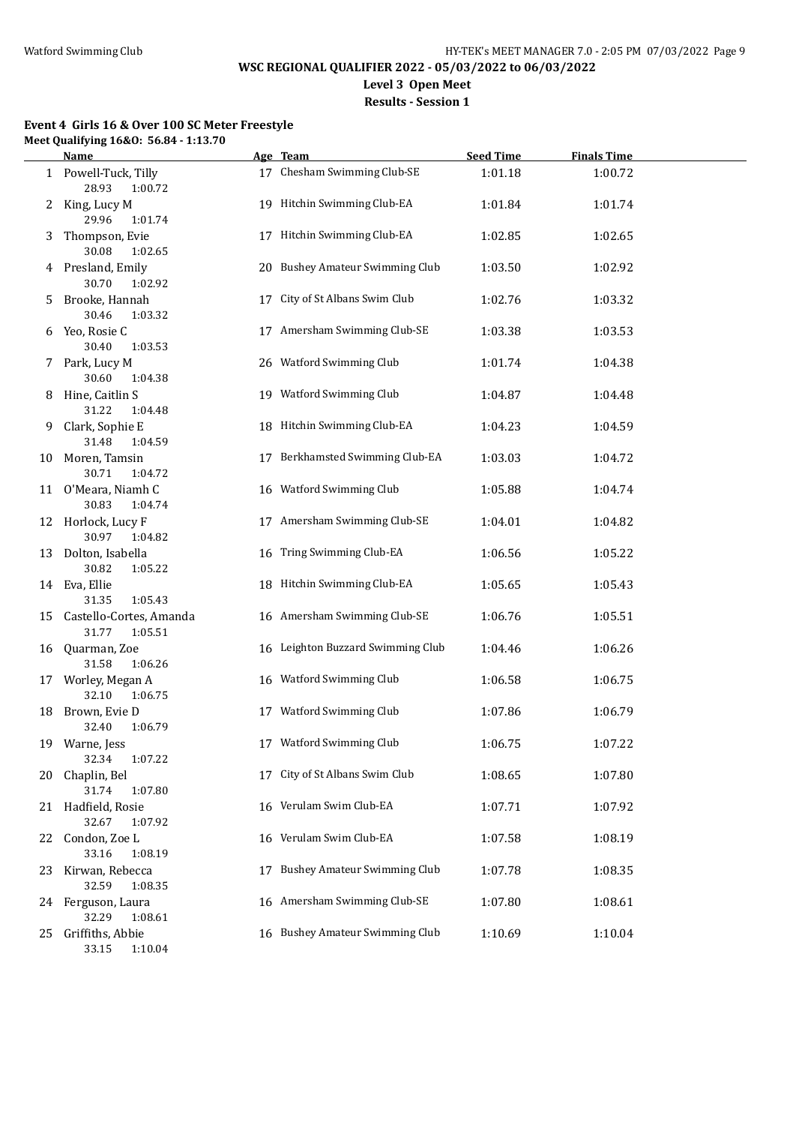**Level 3 Open Meet**

# **Results - Session 1**

## **Event 4 Girls 16 & Over 100 SC Meter Freestyle Meet Qualifying 16&O: 56.84 - 1:13.70**

|      | <b>Name</b>                                                        |    | Age Team                            | <b>Seed Time</b> | <b>Finals Time</b> |  |
|------|--------------------------------------------------------------------|----|-------------------------------------|------------------|--------------------|--|
|      | 1 Powell-Tuck, Tilly<br>28.93<br>1:00.72                           |    | 17 Chesham Swimming Club-SE         | 1:01.18          | 1:00.72            |  |
| 2    | King, Lucy M<br>29.96<br>1:01.74                                   |    | 19 Hitchin Swimming Club-EA         | 1:01.84          | 1:01.74            |  |
| 3    | Thompson, Evie<br>30.08<br>1:02.65                                 |    | 17 Hitchin Swimming Club-EA         | 1:02.85          | 1:02.65            |  |
|      | 4 Presland, Emily<br>30.70<br>1:02.92                              |    | 20 Bushey Amateur Swimming Club     | 1:03.50          | 1:02.92            |  |
| 5.   | Brooke, Hannah<br>30.46<br>1:03.32                                 | 17 | City of St Albans Swim Club         | 1:02.76          | 1:03.32            |  |
|      | 6 Yeo, Rosie C<br>30.40<br>1:03.53                                 |    | 17 Amersham Swimming Club-SE        | 1:03.38          | 1:03.53            |  |
|      | 7 Park, Lucy M<br>30.60<br>1:04.38                                 |    | 26 Watford Swimming Club            | 1:01.74          | 1:04.38            |  |
|      | 8 Hine, Caitlin S<br>31.22<br>1:04.48                              |    | 19 Watford Swimming Club            | 1:04.87          | 1:04.48            |  |
|      | 9 Clark, Sophie E<br>31.48<br>1:04.59                              |    | 18 Hitchin Swimming Club-EA         | 1:04.23          | 1:04.59            |  |
|      | 10 Moren, Tamsin<br>30.71<br>1:04.72                               |    | 17 Berkhamsted Swimming Club-EA     | 1:03.03          | 1:04.72            |  |
|      | 11 O'Meara, Niamh C                                                |    | 16 Watford Swimming Club            | 1:05.88          | 1:04.74            |  |
|      | 30.83<br>1:04.74<br>12 Horlock, Lucy F<br>30.97<br>1:04.82         |    | 17 Amersham Swimming Club-SE        | 1:04.01          | 1:04.82            |  |
|      | 13 Dolton, Isabella                                                |    | 16 Tring Swimming Club-EA           | 1:06.56          | 1:05.22            |  |
|      | 30.82<br>1:05.22<br>14 Eva, Ellie                                  |    | 18 Hitchin Swimming Club-EA         | 1:05.65          | 1:05.43            |  |
|      | 31.35<br>1:05.43<br>15 Castello-Cortes, Amanda<br>31.77<br>1:05.51 |    | 16 Amersham Swimming Club-SE        | 1:06.76          | 1:05.51            |  |
|      | 16 Quarman, Zoe<br>31.58<br>1:06.26                                |    | 16 Leighton Buzzard Swimming Club   | 1:04.46          | 1:06.26            |  |
|      | 17 Worley, Megan A<br>32.10<br>1:06.75                             |    | 16 Watford Swimming Club            | 1:06.58          | 1:06.75            |  |
|      | 18 Brown, Evie D<br>1:06.79<br>32.40                               |    | 17 Watford Swimming Club            | 1:07.86          | 1:06.79            |  |
|      | 19 Warne, Jess<br>32.34<br>1:07.22                                 |    | 17 Watford Swimming Club            | 1:06.75          | 1:07.22            |  |
| 20   | Chaplin, Bel<br>31.74<br>1:07.80                                   |    | 17 City of St Albans Swim Club      | 1:08.65          | 1:07.80            |  |
| 21 - | Hadfield, Rosie<br>32.67<br>1:07.92                                |    | 16 Verulam Swim Club-EA             | 1:07.71          | 1:07.92            |  |
| 22   | Condon, Zoe L<br>33.16<br>1:08.19                                  |    | 16 Verulam Swim Club-EA             | 1:07.58          | 1:08.19            |  |
| 23   | Kirwan, Rebecca<br>32.59<br>1:08.35                                | 17 | <b>Bushey Amateur Swimming Club</b> | 1:07.78          | 1:08.35            |  |
|      | 24 Ferguson, Laura<br>32.29<br>1:08.61                             |    | 16 Amersham Swimming Club-SE        | 1:07.80          | 1:08.61            |  |
| 25   | Griffiths, Abbie<br>33.15<br>1:10.04                               |    | 16 Bushey Amateur Swimming Club     | 1:10.69          | 1:10.04            |  |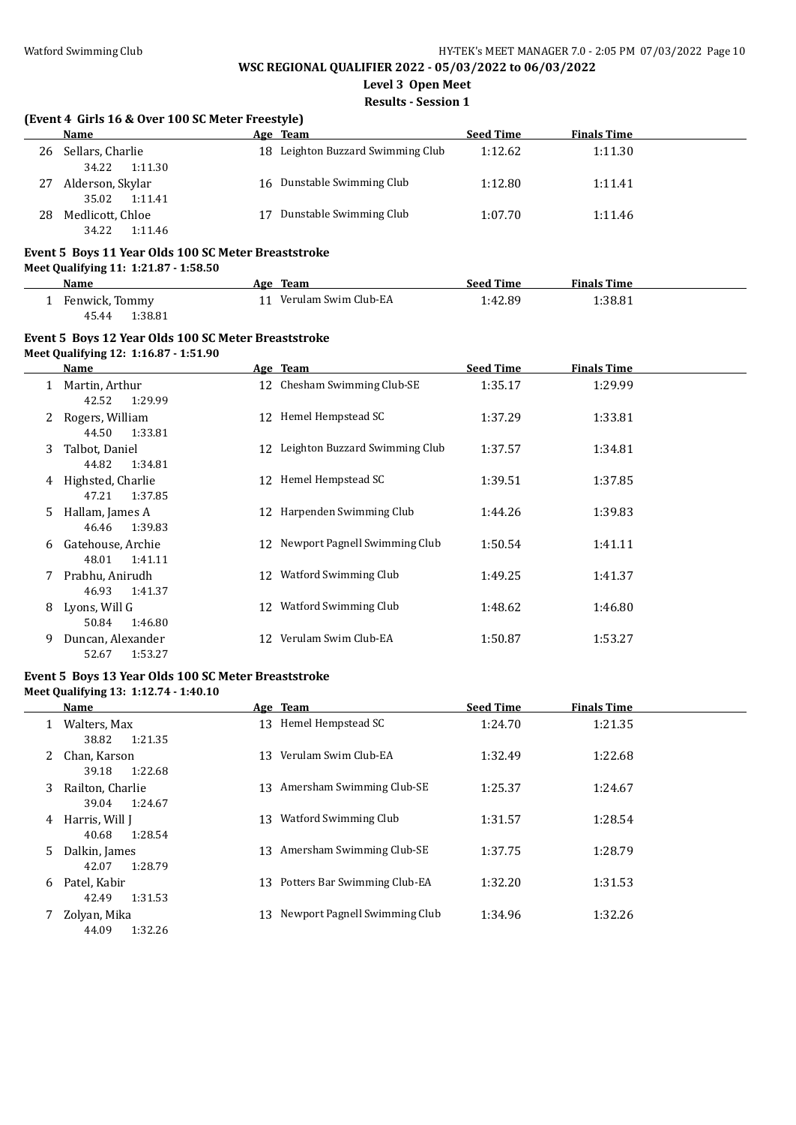**Level 3 Open Meet**

**Results - Session 1**

#### **(Event 4 Girls 16 & Over 100 SC Meter Freestyle)**

|    | <b>Name</b>                          |    | Age Team                          | <b>Seed Time</b> | <b>Finals Time</b> |  |
|----|--------------------------------------|----|-----------------------------------|------------------|--------------------|--|
| 26 | Sellars, Charlie<br>1:11.30<br>34.22 |    | 18 Leighton Buzzard Swimming Club | 1:12.62          | 1:11.30            |  |
| 27 | Alderson, Skylar<br>35.02<br>1:11.41 |    | 16 Dunstable Swimming Club        | 1:12.80          | 1:11.41            |  |
| 28 | Medlicott, Chloe<br>34.22<br>1:11.46 | 17 | Dunstable Swimming Club           | 1:07.70          | 1:11.46            |  |

#### **Event 5 Boys 11 Year Olds 100 SC Meter Breaststroke**

**Meet Qualifying 11: 1:21.87 - 1:58.50**

| Name             | Age Team                | <b>Seed Time</b> | <b>Finals Time</b> |  |
|------------------|-------------------------|------------------|--------------------|--|
| Fenwick, Tommy   | 11 Verulam Swim Club-EA | 1:42.89          | 1:38.81            |  |
| 1:38.81<br>45.44 |                         |                  |                    |  |

#### **Event 5 Boys 12 Year Olds 100 SC Meter Breaststroke Meet Qualifying 12: 1:16.87 - 1:51.90**

| <b>Name</b>                                |    | Age Team                          | <b>Seed Time</b> | <b>Finals Time</b> |  |
|--------------------------------------------|----|-----------------------------------|------------------|--------------------|--|
| Martin, Arthur<br>1<br>42.52<br>1:29.99    |    | 12 Chesham Swimming Club-SE       | 1:35.17          | 1:29.99            |  |
| Rogers, William<br>2<br>1:33.81<br>44.50   |    | 12 Hemel Hempstead SC             | 1:37.29          | 1:33.81            |  |
| Talbot, Daniel<br>3<br>44.82<br>1:34.81    |    | 12 Leighton Buzzard Swimming Club | 1:37.57          | 1:34.81            |  |
| Highsted, Charlie<br>4<br>1:37.85<br>47.21 | 12 | Hemel Hempstead SC                | 1:39.51          | 1:37.85            |  |
| Hallam, James A<br>5.<br>46.46<br>1:39.83  |    | 12 Harpenden Swimming Club        | 1:44.26          | 1:39.83            |  |
| Gatehouse, Archie<br>6<br>48.01<br>1:41.11 |    | 12 Newport Pagnell Swimming Club  | 1:50.54          | 1:41.11            |  |
| Prabhu, Anirudh<br>7<br>46.93<br>1:41.37   |    | 12 Watford Swimming Club          | 1:49.25          | 1:41.37            |  |
| Lyons, Will G<br>8<br>50.84<br>1:46.80     | 12 | Watford Swimming Club             | 1:48.62          | 1:46.80            |  |
| Duncan, Alexander<br>9<br>1:53.27<br>52.67 | 12 | Verulam Swim Club-EA              | 1:50.87          | 1:53.27            |  |

#### **Event 5 Boys 13 Year Olds 100 SC Meter Breaststroke Meet Qualifying 13: 1:12.74 - 1:40.10**

|    | Name                                 |     | Age Team                      | <b>Seed Time</b> | <b>Finals Time</b> |
|----|--------------------------------------|-----|-------------------------------|------------------|--------------------|
| 1  | Walters, Max<br>1:21.35<br>38.82     |     | 13 Hemel Hempstead SC         | 1:24.70          | 1:21.35            |
| 2  | Chan, Karson<br>39.18<br>1:22.68     | 13  | Verulam Swim Club-EA          | 1:32.49          | 1:22.68            |
| 3  | Railton, Charlie<br>39.04<br>1:24.67 |     | 13 Amersham Swimming Club-SE  | 1:25.37          | 1:24.67            |
| 4  | Harris, Will J<br>40.68<br>1:28.54   | 13  | Watford Swimming Club         | 1:31.57          | 1:28.54            |
| 5. | Dalkin, James<br>1:28.79<br>42.07    | 13  | Amersham Swimming Club-SE     | 1:37.75          | 1:28.79            |
| 6  | Patel, Kabir<br>1:31.53<br>42.49     | 13. | Potters Bar Swimming Club-EA  | 1:32.20          | 1:31.53            |
|    | Zolyan, Mika<br>1:32.26<br>44.09     | 13  | Newport Pagnell Swimming Club | 1:34.96          | 1:32.26            |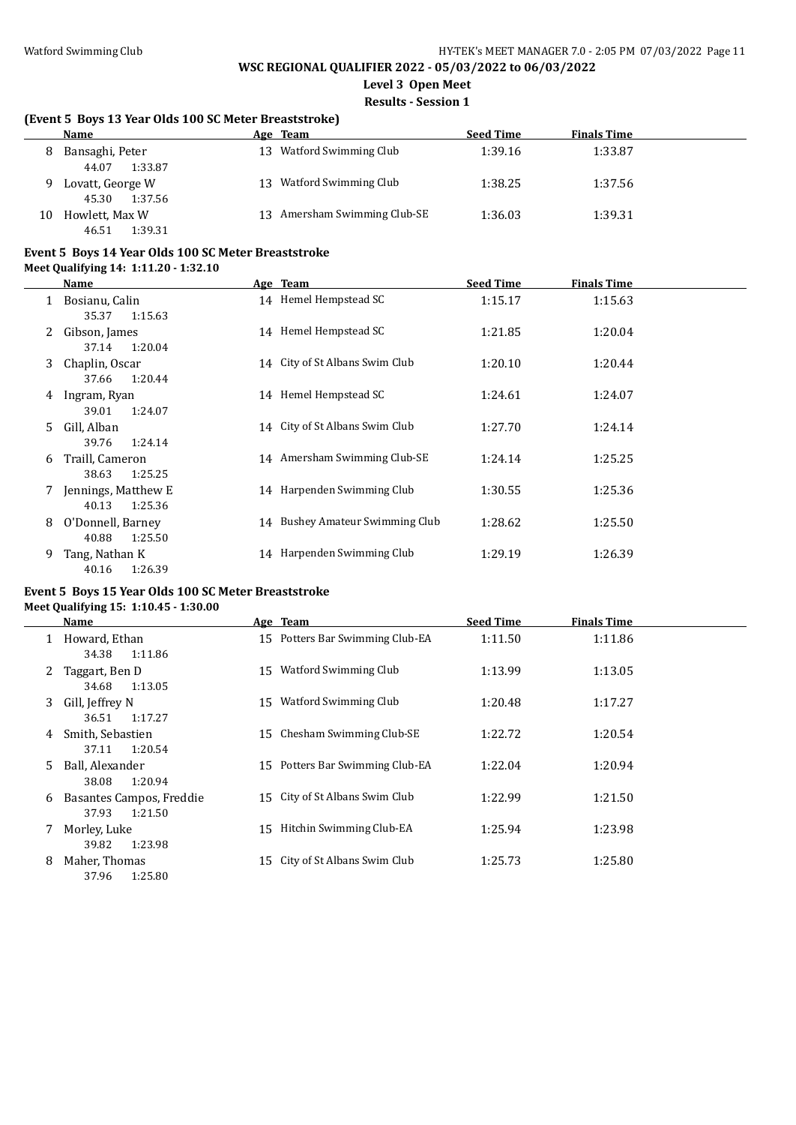**Level 3 Open Meet**

**Results - Session 1**

## **(Event 5 Boys 13 Year Olds 100 SC Meter Breaststroke)**

|    | <b>Name</b>                          |      | Age Team                  | <b>Seed Time</b> | <b>Finals Time</b> |
|----|--------------------------------------|------|---------------------------|------------------|--------------------|
| 8  | Bansaghi, Peter<br>1:33.87<br>44.07  | 13.  | Watford Swimming Club     | 1:39.16          | 1:33.87            |
|    | Lovatt, George W<br>1:37.56<br>45.30 | 13 - | Watford Swimming Club     | 1:38.25          | 1:37.56            |
| 10 | Howlett, Max W<br>1:39.31<br>46.51   | 13 - | Amersham Swimming Club-SE | 1:36.03          | 1:39.31            |

#### **Event 5 Boys 14 Year Olds 100 SC Meter Breaststroke**

**Meet Qualifying 14: 1:11.20 - 1:32.10**

|   | Name                                                    | Age Team                        | <b>Seed Time</b> | <b>Finals Time</b> |  |
|---|---------------------------------------------------------|---------------------------------|------------------|--------------------|--|
|   | Bosianu, Calin                                          | 14 Hemel Hempstead SC           | 1:15.17          | 1:15.63            |  |
|   | 35.37<br>1:15.63<br>Gibson, James                       | 14 Hemel Hempstead SC           | 1:21.85          | 1:20.04            |  |
| 3 | 1:20.04<br>37.14<br>Chaplin, Oscar                      | 14 City of St Albans Swim Club  | 1:20.10          | 1:20.44            |  |
| 4 | 1:20.44<br>37.66<br>Ingram, Ryan                        | 14 Hemel Hempstead SC           | 1:24.61          | 1:24.07            |  |
| 5 | 1:24.07<br>39.01<br>Gill. Alban                         | 14 City of St Albans Swim Club  | 1:27.70          | 1:24.14            |  |
| 6 | 1:24.14<br>39.76<br>Traill, Cameron<br>1:25.25<br>38.63 | 14 Amersham Swimming Club-SE    | 1:24.14          | 1:25.25            |  |
|   | Jennings, Matthew E.                                    | 14 Harpenden Swimming Club      | 1:30.55          | 1:25.36            |  |
| 8 | 1:25.36<br>40.13<br>O'Donnell, Barney                   | 14 Bushey Amateur Swimming Club | 1:28.62          | 1:25.50            |  |
| 9 | 1:25.50<br>40.88<br>Tang, Nathan K<br>1:26.39<br>40.16  | 14 Harpenden Swimming Club      | 1:29.19          | 1:26.39            |  |

#### **Event 5 Boys 15 Year Olds 100 SC Meter Breaststroke Meet Qualifying 15: 1:10.45 - 1:30.00**

|    | Name                                         |    | Age Team                     | <b>Seed Time</b> | <b>Finals Time</b> |
|----|----------------------------------------------|----|------------------------------|------------------|--------------------|
| 1  | Howard, Ethan<br>1:11.86<br>34.38            | 15 | Potters Bar Swimming Club-EA | 1:11.50          | 1:11.86            |
| 2  | Taggart, Ben D<br>1:13.05<br>34.68           | 15 | Watford Swimming Club        | 1:13.99          | 1:13.05            |
| 3  | Gill, Jeffrey N<br>36.51<br>1:17.27          | 15 | Watford Swimming Club        | 1:20.48          | 1:17.27            |
| 4  | Smith, Sebastien<br>1:20.54<br>37.11         | 15 | Chesham Swimming Club-SE     | 1:22.72          | 1:20.54            |
| 5. | Ball, Alexander<br>1:20.94<br>38.08          | 15 | Potters Bar Swimming Club-EA | 1:22.04          | 1:20.94            |
| 6  | Basantes Campos, Freddie<br>37.93<br>1:21.50 | 15 | City of St Albans Swim Club  | 1:22.99          | 1:21.50            |
|    | Morley, Luke<br>1:23.98<br>39.82             | 15 | Hitchin Swimming Club-EA     | 1:25.94          | 1:23.98            |
| 8  | Maher, Thomas<br>1:25.80<br>37.96            | 15 | City of St Albans Swim Club  | 1:25.73          | 1:25.80            |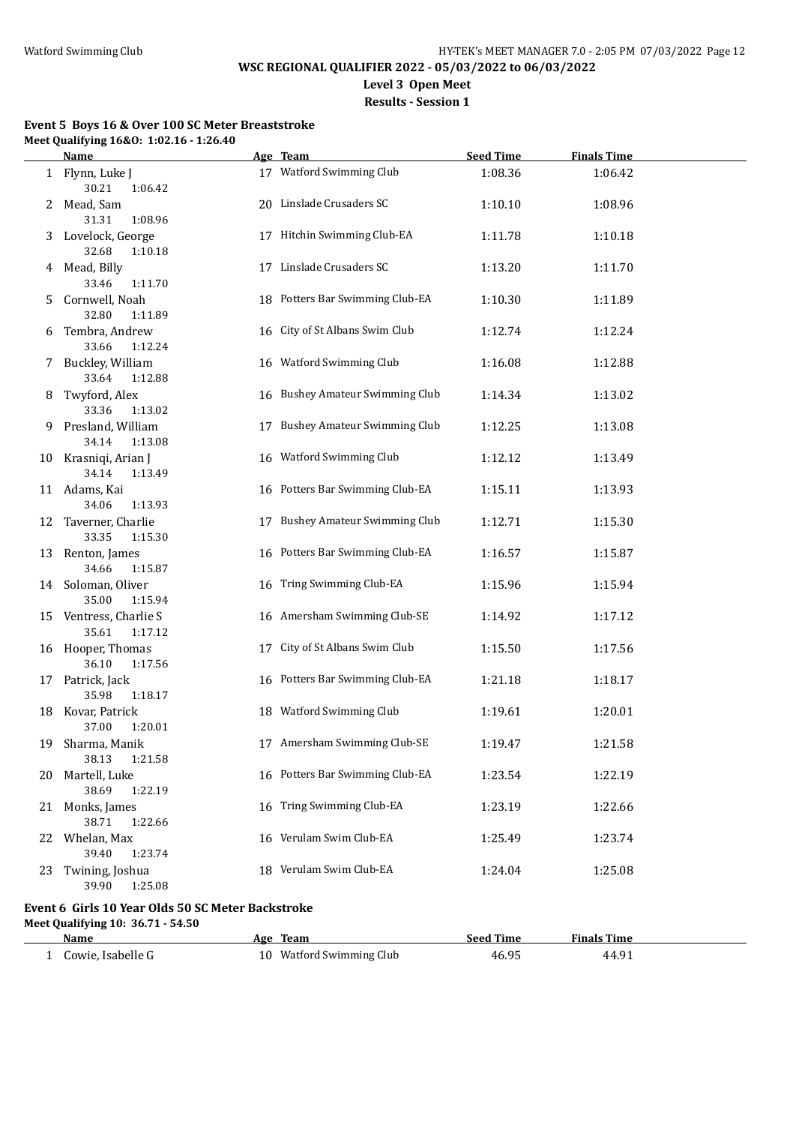**Level 3 Open Meet**

**Results - Session 1**

#### **Event 5 Boys 16 & Over 100 SC Meter Breaststroke Meet Qualifying 16&O: 1:02.16 - 1:26.40**

|    | <b>Name</b>                                       |    | Age Team                        | <b>Seed Time</b> | <b>Finals Time</b> |  |
|----|---------------------------------------------------|----|---------------------------------|------------------|--------------------|--|
|    | 1 Flynn, Luke J<br>30.21<br>1:06.42               |    | 17 Watford Swimming Club        | 1:08.36          | 1:06.42            |  |
| 2  | Mead, Sam<br>31.31<br>1:08.96                     |    | 20 Linslade Crusaders SC        | 1:10.10          | 1:08.96            |  |
|    | 3 Lovelock, George<br>32.68<br>1:10.18            |    | 17 Hitchin Swimming Club-EA     | 1:11.78          | 1:10.18            |  |
|    | 4 Mead, Billy<br>33.46<br>1:11.70                 |    | 17 Linslade Crusaders SC        | 1:13.20          | 1:11.70            |  |
| 5. | Cornwell, Noah<br>32.80<br>1:11.89                |    | 18 Potters Bar Swimming Club-EA | 1:10.30          | 1:11.89            |  |
|    | 6 Tembra, Andrew<br>33.66<br>1:12.24              |    | 16 City of St Albans Swim Club  | 1:12.74          | 1:12.24            |  |
|    | 7 Buckley, William<br>1:12.88<br>33.64            |    | 16 Watford Swimming Club        | 1:16.08          | 1:12.88            |  |
|    | 8 Twyford, Alex<br>33.36<br>1:13.02               |    | 16 Bushey Amateur Swimming Club | 1:14.34          | 1:13.02            |  |
|    | 9 Presland, William<br>1:13.08<br>34.14           |    | 17 Bushey Amateur Swimming Club | 1:12.25          | 1:13.08            |  |
|    | 10 Krasniqi, Arian J<br>34.14<br>1:13.49          |    | 16 Watford Swimming Club        | 1:12.12          | 1:13.49            |  |
|    | 11 Adams, Kai<br>34.06<br>1:13.93                 |    | 16 Potters Bar Swimming Club-EA | 1:15.11          | 1:13.93            |  |
|    | 12 Taverner, Charlie<br>33.35<br>1:15.30          |    | 17 Bushey Amateur Swimming Club | 1:12.71          | 1:15.30            |  |
|    | 13 Renton, James<br>34.66<br>1:15.87              |    | 16 Potters Bar Swimming Club-EA | 1:16.57          | 1:15.87            |  |
|    | 14 Soloman, Oliver<br>35.00<br>1:15.94            |    | 16 Tring Swimming Club-EA       | 1:15.96          | 1:15.94            |  |
|    | 15 Ventress, Charlie S<br>35.61<br>1:17.12        |    | 16 Amersham Swimming Club-SE    | 1:14.92          | 1:17.12            |  |
|    | 16 Hooper, Thomas<br>36.10<br>1:17.56             |    | 17 City of St Albans Swim Club  | 1:15.50          | 1:17.56            |  |
|    | 17 Patrick, Jack<br>35.98<br>1:18.17              |    | 16 Potters Bar Swimming Club-EA | 1:21.18          | 1:18.17            |  |
|    | 18 Kovar, Patrick<br>37.00<br>1:20.01             |    | 18 Watford Swimming Club        | 1:19.61          | 1:20.01            |  |
| 19 | Sharma, Manik<br>38.13<br>1:21.58                 |    | 17 Amersham Swimming Club-SE    | 1:19.47          | 1:21.58            |  |
| 20 | Martell, Luke<br>38.69<br>1:22.19                 |    | 16 Potters Bar Swimming Club-EA | 1:23.54          | 1:22.19            |  |
|    | 21 Monks, James<br>38.71<br>1:22.66               |    | 16 Tring Swimming Club-EA       | 1:23.19          | 1:22.66            |  |
| 22 | Whelan, Max<br>39.40<br>1:23.74                   | 16 | Verulam Swim Club-EA            | 1:25.49          | 1:23.74            |  |
| 23 | Twining, Joshua<br>39.90<br>1:25.08               | 18 | Verulam Swim Club-EA            | 1:24.04          | 1:25.08            |  |
|    | Event 6 Girls 10 Year Olds 50 SC Meter Backstroke |    |                                 |                  |                    |  |
|    | Meet Qualifying 10: 36.71 - 54.50<br>Name         |    | Age Team                        | <b>Seed Time</b> | <b>Finals Time</b> |  |
|    | 1 Cowie, Isabelle G                               |    | 10 Watford Swimming Club        | 46.95            | 44.91              |  |
|    |                                                   |    |                                 |                  |                    |  |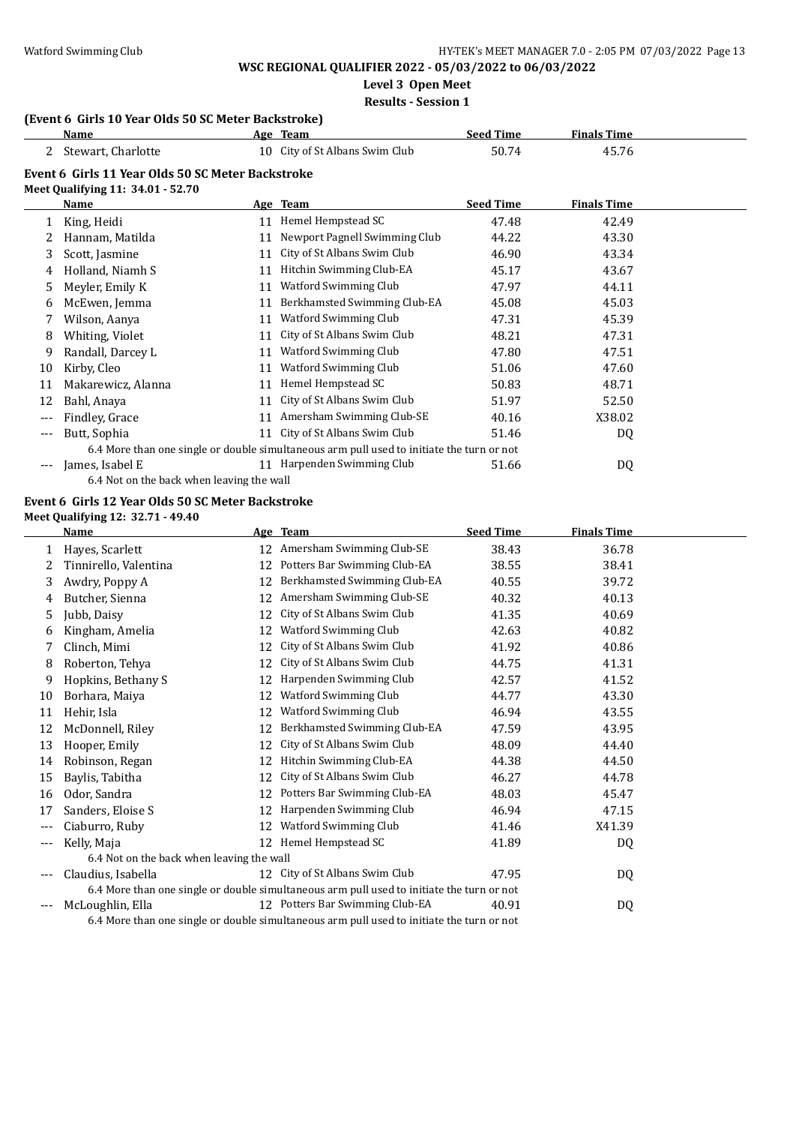**Level 3 Open Meet**

### **Results - Session 1**

## **(Event 6 Girls 10 Year Olds 50 SC Meter Backstroke)**

| Name                                                                                   |    |                               | <b>Seed Time</b>                                         | <b>Finals Time</b>                                                                        |  |  |  |  |  |
|----------------------------------------------------------------------------------------|----|-------------------------------|----------------------------------------------------------|-------------------------------------------------------------------------------------------|--|--|--|--|--|
| Stewart, Charlotte                                                                     |    | City of St Albans Swim Club   | 50.74                                                    | 45.76                                                                                     |  |  |  |  |  |
| Event 6 Girls 11 Year Olds 50 SC Meter Backstroke<br>Meet Qualifying 11: 34.01 - 52.70 |    |                               |                                                          |                                                                                           |  |  |  |  |  |
| Name                                                                                   |    |                               | <b>Seed Time</b>                                         | <b>Finals Time</b>                                                                        |  |  |  |  |  |
| King, Heidi                                                                            | 11 | Hemel Hempstead SC            | 47.48                                                    | 42.49                                                                                     |  |  |  |  |  |
| Hannam, Matilda                                                                        | 11 | Newport Pagnell Swimming Club | 44.22                                                    | 43.30                                                                                     |  |  |  |  |  |
| Scott, Jasmine                                                                         | 11 | City of St Albans Swim Club   | 46.90                                                    | 43.34                                                                                     |  |  |  |  |  |
| Holland, Niamh S                                                                       | 11 | Hitchin Swimming Club-EA      | 45.17                                                    | 43.67                                                                                     |  |  |  |  |  |
| Meyler, Emily K                                                                        | 11 | Watford Swimming Club         | 47.97                                                    | 44.11                                                                                     |  |  |  |  |  |
| McEwen, Jemma                                                                          | 11 | Berkhamsted Swimming Club-EA  | 45.08                                                    | 45.03                                                                                     |  |  |  |  |  |
| Wilson, Aanya                                                                          | 11 | Watford Swimming Club         | 47.31                                                    | 45.39                                                                                     |  |  |  |  |  |
| Whiting, Violet                                                                        | 11 | City of St Albans Swim Club   | 48.21                                                    | 47.31                                                                                     |  |  |  |  |  |
| Randall, Darcey L                                                                      | 11 | Watford Swimming Club         | 47.80                                                    | 47.51                                                                                     |  |  |  |  |  |
| Kirby, Cleo                                                                            | 11 | Watford Swimming Club         | 51.06                                                    | 47.60                                                                                     |  |  |  |  |  |
| Makarewicz, Alanna                                                                     | 11 | Hemel Hempstead SC            | 50.83                                                    | 48.71                                                                                     |  |  |  |  |  |
| Bahl, Anaya                                                                            | 11 | City of St Albans Swim Club   | 51.97                                                    | 52.50                                                                                     |  |  |  |  |  |
| Findley, Grace                                                                         | 11 | Amersham Swimming Club-SE     | 40.16                                                    | X38.02                                                                                    |  |  |  |  |  |
| Butt, Sophia                                                                           | 11 | City of St Albans Swim Club   | 51.46                                                    | DQ                                                                                        |  |  |  |  |  |
|                                                                                        |    |                               |                                                          |                                                                                           |  |  |  |  |  |
| James, Isabel E                                                                        |    |                               | 51.66                                                    | DQ                                                                                        |  |  |  |  |  |
|                                                                                        |    |                               | Age Team<br>10<br>Age Team<br>11 Harpenden Swimming Club | 6.4 More than one single or double simultaneous arm pull used to initiate the turn or not |  |  |  |  |  |

6.4 Not on the back when leaving the wall

# **Event 6 Girls 12 Year Olds 50 SC Meter Backstroke**

|     | <b>Name</b>                               |    | Age Team                                                                                  | <b>Seed Time</b> | <b>Finals Time</b> |  |
|-----|-------------------------------------------|----|-------------------------------------------------------------------------------------------|------------------|--------------------|--|
|     | Hayes, Scarlett                           |    | 12 Amersham Swimming Club-SE                                                              | 38.43            | 36.78              |  |
| 2   | Tinnirello, Valentina                     | 12 | Potters Bar Swimming Club-EA                                                              | 38.55            | 38.41              |  |
| 3   | Awdry, Poppy A                            | 12 | Berkhamsted Swimming Club-EA                                                              | 40.55            | 39.72              |  |
|     | Butcher, Sienna                           |    | 12 Amersham Swimming Club-SE                                                              | 40.32            | 40.13              |  |
| 5   | Jubb, Daisy                               | 12 | City of St Albans Swim Club                                                               | 41.35            | 40.69              |  |
| 6   | Kingham, Amelia                           | 12 | Watford Swimming Club                                                                     | 42.63            | 40.82              |  |
|     | Clinch, Mimi                              | 12 | City of St Albans Swim Club                                                               | 41.92            | 40.86              |  |
| 8   | Roberton, Tehya                           | 12 | City of St Albans Swim Club                                                               | 44.75            | 41.31              |  |
| 9   | Hopkins, Bethany S                        | 12 | Harpenden Swimming Club                                                                   | 42.57            | 41.52              |  |
| 10  | Borhara, Maiya                            | 12 | Watford Swimming Club                                                                     | 44.77            | 43.30              |  |
| 11  | Hehir, Isla                               | 12 | Watford Swimming Club                                                                     | 46.94            | 43.55              |  |
| 12  | McDonnell, Riley                          | 12 | Berkhamsted Swimming Club-EA                                                              | 47.59            | 43.95              |  |
| 13  | Hooper, Emily                             | 12 | City of St Albans Swim Club                                                               | 48.09            | 44.40              |  |
| 14  | Robinson, Regan                           | 12 | Hitchin Swimming Club-EA                                                                  | 44.38            | 44.50              |  |
| 15  | Baylis, Tabitha                           | 12 | City of St Albans Swim Club                                                               | 46.27            | 44.78              |  |
| 16  | Odor, Sandra                              | 12 | Potters Bar Swimming Club-EA                                                              | 48.03            | 45.47              |  |
| 17  | Sanders, Eloise S                         | 12 | Harpenden Swimming Club                                                                   | 46.94            | 47.15              |  |
| --- | Ciaburro, Ruby                            | 12 | Watford Swimming Club                                                                     | 41.46            | X41.39             |  |
|     | Kelly, Maja                               |    | 12 Hemel Hempstead SC                                                                     | 41.89            | DQ                 |  |
|     | 6.4 Not on the back when leaving the wall |    |                                                                                           |                  |                    |  |
|     | Claudius, Isabella                        |    | 12 City of St Albans Swim Club                                                            | 47.95            | DQ                 |  |
|     |                                           |    | 6.4 More than one single or double simultaneous arm pull used to initiate the turn or not |                  |                    |  |
|     | McLoughlin, Ella                          |    | 12 Potters Bar Swimming Club-EA                                                           | 40.91            | DQ                 |  |
|     |                                           |    | 6.4 More than one single or double simultaneous arm pull used to initiate the turn or not |                  |                    |  |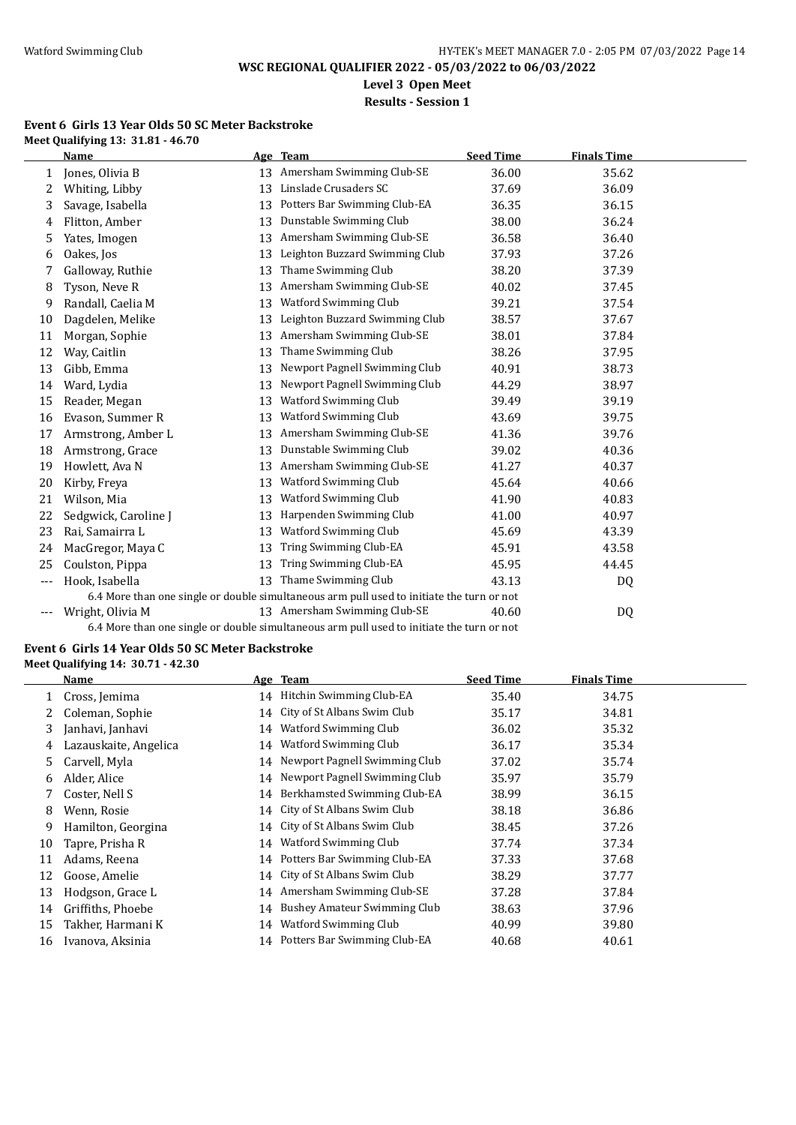**Level 3 Open Meet**

# **Results - Session 1**

#### **Event 6 Girls 13 Year Olds 50 SC Meter Backstroke Meet Qualifying 13: 31.81 - 46.70**

|     | <b>Name</b>          |    | Age Team                                                                                  | <b>Seed Time</b> | <b>Finals Time</b> |
|-----|----------------------|----|-------------------------------------------------------------------------------------------|------------------|--------------------|
| 1   | Jones, Olivia B      |    | 13 Amersham Swimming Club-SE                                                              | 36.00            | 35.62              |
| 2   | Whiting, Libby       | 13 | Linslade Crusaders SC                                                                     | 37.69            | 36.09              |
| 3   | Savage, Isabella     | 13 | Potters Bar Swimming Club-EA                                                              | 36.35            | 36.15              |
| 4   | Flitton, Amber       | 13 | Dunstable Swimming Club                                                                   | 38.00            | 36.24              |
| 5   | Yates, Imogen        | 13 | Amersham Swimming Club-SE                                                                 | 36.58            | 36.40              |
| 6   | Oakes, Jos           | 13 | Leighton Buzzard Swimming Club                                                            | 37.93            | 37.26              |
| 7   | Galloway, Ruthie     | 13 | Thame Swimming Club                                                                       | 38.20            | 37.39              |
| 8   | Tyson, Neve R        | 13 | Amersham Swimming Club-SE                                                                 | 40.02            | 37.45              |
| 9   | Randall, Caelia M    | 13 | Watford Swimming Club                                                                     | 39.21            | 37.54              |
| 10  | Dagdelen, Melike     | 13 | Leighton Buzzard Swimming Club                                                            | 38.57            | 37.67              |
| 11  | Morgan, Sophie       | 13 | Amersham Swimming Club-SE                                                                 | 38.01            | 37.84              |
| 12  | Way, Caitlin         | 13 | Thame Swimming Club                                                                       | 38.26            | 37.95              |
| 13  | Gibb, Emma           | 13 | Newport Pagnell Swimming Club                                                             | 40.91            | 38.73              |
| 14  | Ward, Lydia          | 13 | Newport Pagnell Swimming Club                                                             | 44.29            | 38.97              |
| 15  | Reader, Megan        | 13 | Watford Swimming Club                                                                     | 39.49            | 39.19              |
| 16  | Evason, Summer R     | 13 | Watford Swimming Club                                                                     | 43.69            | 39.75              |
| 17  | Armstrong, Amber L   | 13 | Amersham Swimming Club-SE                                                                 | 41.36            | 39.76              |
| 18  | Armstrong, Grace     | 13 | Dunstable Swimming Club                                                                   | 39.02            | 40.36              |
| 19  | Howlett, Ava N       | 13 | Amersham Swimming Club-SE                                                                 | 41.27            | 40.37              |
| 20  | Kirby, Freya         | 13 | Watford Swimming Club                                                                     | 45.64            | 40.66              |
| 21  | Wilson, Mia          | 13 | Watford Swimming Club                                                                     | 41.90            | 40.83              |
| 22  | Sedgwick, Caroline J | 13 | Harpenden Swimming Club                                                                   | 41.00            | 40.97              |
| 23  | Rai, Samairra L      | 13 | Watford Swimming Club                                                                     | 45.69            | 43.39              |
| 24  | MacGregor, Maya C    | 13 | Tring Swimming Club-EA                                                                    | 45.91            | 43.58              |
| 25  | Coulston, Pippa      | 13 | Tring Swimming Club-EA                                                                    | 45.95            | 44.45              |
| --- | Hook, Isabella       | 13 | Thame Swimming Club                                                                       | 43.13            | DQ                 |
|     |                      |    | 6.4 More than one single or double simultaneous arm pull used to initiate the turn or not |                  |                    |
|     | Wright, Olivia M     |    | 13 Amersham Swimming Club-SE                                                              | 40.60            | DQ                 |
|     |                      |    | 6.4 More than one single or double simultaneous arm pull used to initiate the turn or not |                  |                    |

# **Event 6 Girls 14 Year Olds 50 SC Meter Backstroke**

**Meet Qualifying 14: 30.71 - 42.30**

|    | Name                  |    | Age Team                            | <b>Seed Time</b> | <b>Finals Time</b> |  |
|----|-----------------------|----|-------------------------------------|------------------|--------------------|--|
|    | Cross, Jemima         | 14 | Hitchin Swimming Club-EA            | 35.40            | 34.75              |  |
|    | Coleman, Sophie       | 14 | City of St Albans Swim Club         | 35.17            | 34.81              |  |
| 3  | Janhavi, Janhavi      | 14 | Watford Swimming Club               | 36.02            | 35.32              |  |
| 4  | Lazauskaite, Angelica | 14 | Watford Swimming Club               | 36.17            | 35.34              |  |
| 5  | Carvell, Myla         | 14 | Newport Pagnell Swimming Club       | 37.02            | 35.74              |  |
| 6  | Alder, Alice          | 14 | Newport Pagnell Swimming Club       | 35.97            | 35.79              |  |
|    | Coster, Nell S        | 14 | Berkhamsted Swimming Club-EA        | 38.99            | 36.15              |  |
| 8  | Wenn, Rosie           | 14 | City of St Albans Swim Club         | 38.18            | 36.86              |  |
| 9  | Hamilton, Georgina    | 14 | City of St Albans Swim Club         | 38.45            | 37.26              |  |
| 10 | Tapre, Prisha R       | 14 | Watford Swimming Club               | 37.74            | 37.34              |  |
| 11 | Adams, Reena          | 14 | Potters Bar Swimming Club-EA        | 37.33            | 37.68              |  |
| 12 | Goose, Amelie         | 14 | City of St Albans Swim Club         | 38.29            | 37.77              |  |
| 13 | Hodgson, Grace L      | 14 | Amersham Swimming Club-SE           | 37.28            | 37.84              |  |
| 14 | Griffiths, Phoebe     | 14 | <b>Bushey Amateur Swimming Club</b> | 38.63            | 37.96              |  |
| 15 | Takher, Harmani K     | 14 | <b>Watford Swimming Club</b>        | 40.99            | 39.80              |  |
| 16 | Ivanova, Aksinia      | 14 | Potters Bar Swimming Club-EA        | 40.68            | 40.61              |  |
|    |                       |    |                                     |                  |                    |  |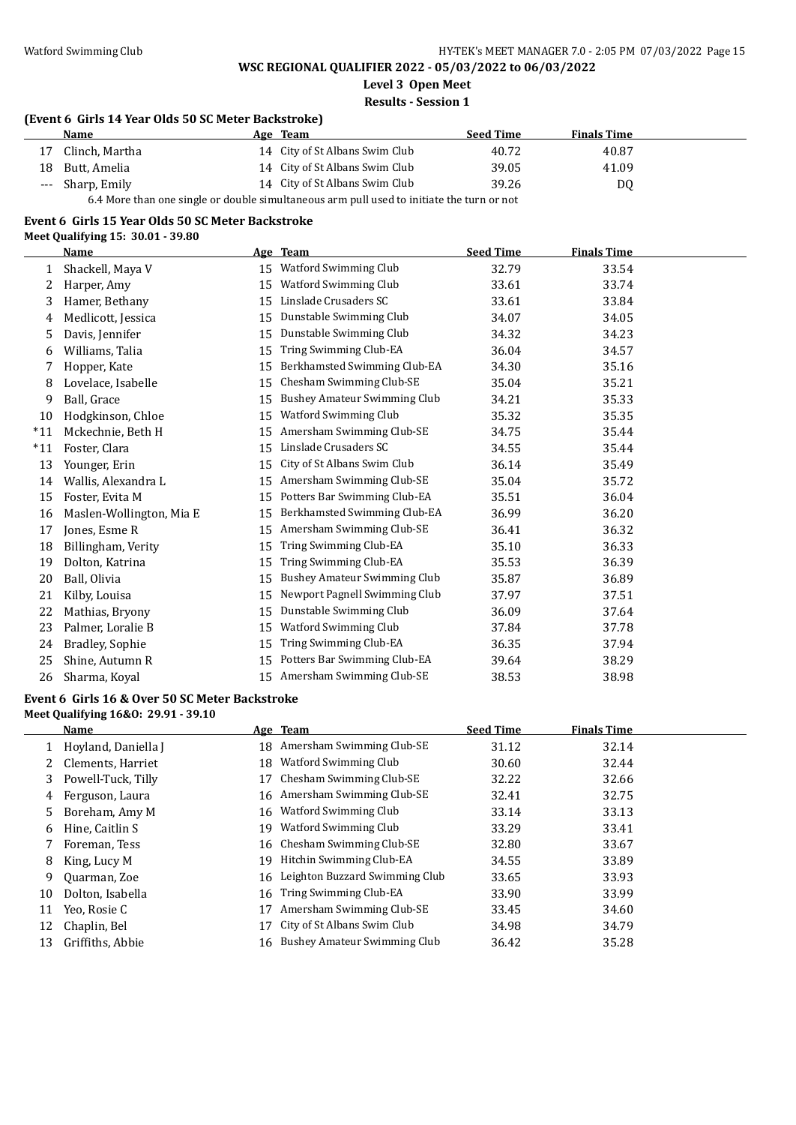**Level 3 Open Meet**

#### **Results - Session 1**

## **(Event 6 Girls 14 Year Olds 50 SC Meter Backstroke)**

|    | <b>Name</b>                                                                               |  | Age Team                       | <b>Seed Time</b> | <b>Finals Time</b> |  |  |
|----|-------------------------------------------------------------------------------------------|--|--------------------------------|------------------|--------------------|--|--|
| 17 | Clinch, Martha                                                                            |  | 14 City of St Albans Swim Club | 40.72            | 40.87              |  |  |
|    | 18 Butt, Amelia                                                                           |  | 14 City of St Albans Swim Club | 39.05            | 41.09              |  |  |
|    | --- Sharp, Emily                                                                          |  | 14 City of St Albans Swim Club | 39.26            | D <sub>0</sub>     |  |  |
|    | 6.4 More than one single or double simultaneous arm pull used to initiate the turn or not |  |                                |                  |                    |  |  |

#### **Event 6 Girls 15 Year Olds 50 SC Meter Backstroke**

**Meet Qualifying 15: 30.01 - 39.80**

|       | <b>Name</b>              |    | Age Team                            | <b>Seed Time</b> | <b>Finals Time</b> |  |
|-------|--------------------------|----|-------------------------------------|------------------|--------------------|--|
| 1     | Shackell, Maya V         | 15 | Watford Swimming Club               | 32.79            | 33.54              |  |
| 2     | Harper, Amy              | 15 | Watford Swimming Club               | 33.61            | 33.74              |  |
| 3     | Hamer, Bethany           | 15 | Linslade Crusaders SC               | 33.61            | 33.84              |  |
| 4     | Medlicott, Jessica       | 15 | Dunstable Swimming Club             | 34.07            | 34.05              |  |
| 5     | Davis, Jennifer          | 15 | Dunstable Swimming Club             | 34.32            | 34.23              |  |
| 6     | Williams, Talia          | 15 | Tring Swimming Club-EA              | 36.04            | 34.57              |  |
|       | Hopper, Kate             | 15 | Berkhamsted Swimming Club-EA        | 34.30            | 35.16              |  |
| 8     | Lovelace, Isabelle       | 15 | Chesham Swimming Club-SE            | 35.04            | 35.21              |  |
| 9     | Ball, Grace              | 15 | <b>Bushey Amateur Swimming Club</b> | 34.21            | 35.33              |  |
| 10    | Hodgkinson, Chloe        | 15 | Watford Swimming Club               | 35.32            | 35.35              |  |
| $*11$ | Mckechnie, Beth H        | 15 | Amersham Swimming Club-SE           | 34.75            | 35.44              |  |
| $*11$ | Foster, Clara            | 15 | Linslade Crusaders SC               | 34.55            | 35.44              |  |
| 13    | Younger, Erin            | 15 | City of St Albans Swim Club         | 36.14            | 35.49              |  |
| 14    | Wallis, Alexandra L      | 15 | Amersham Swimming Club-SE           | 35.04            | 35.72              |  |
| 15    | Foster, Evita M          | 15 | Potters Bar Swimming Club-EA        | 35.51            | 36.04              |  |
| 16    | Maslen-Wollington, Mia E | 15 | Berkhamsted Swimming Club-EA        | 36.99            | 36.20              |  |
| 17    | Jones, Esme R            | 15 | Amersham Swimming Club-SE           | 36.41            | 36.32              |  |
| 18    | Billingham, Verity       | 15 | Tring Swimming Club-EA              | 35.10            | 36.33              |  |
| 19    | Dolton, Katrina          | 15 | Tring Swimming Club-EA              | 35.53            | 36.39              |  |
| 20    | Ball, Olivia             | 15 | <b>Bushey Amateur Swimming Club</b> | 35.87            | 36.89              |  |
| 21    | Kilby, Louisa            | 15 | Newport Pagnell Swimming Club       | 37.97            | 37.51              |  |
| 22    | Mathias, Bryony          | 15 | Dunstable Swimming Club             | 36.09            | 37.64              |  |
| 23    | Palmer, Loralie B        | 15 | Watford Swimming Club               | 37.84            | 37.78              |  |
| 24    | Bradley, Sophie          | 15 | Tring Swimming Club-EA              | 36.35            | 37.94              |  |
| 25    | Shine, Autumn R          | 15 | Potters Bar Swimming Club-EA        | 39.64            | 38.29              |  |
| 26    | Sharma, Koyal            | 15 | Amersham Swimming Club-SE           | 38.53            | 38.98              |  |

#### **Event 6 Girls 16 & Over 50 SC Meter Backstroke Meet Qualifying 16&O: 29.91 - 39.10**

|    | Name                |    | Age Team                       | <b>Seed Time</b> | <b>Finals Time</b> |  |
|----|---------------------|----|--------------------------------|------------------|--------------------|--|
|    | Hoyland, Daniella J | 18 | Amersham Swimming Club-SE      | 31.12            | 32.14              |  |
|    | Clements, Harriet   | 18 | Watford Swimming Club          | 30.60            | 32.44              |  |
| 3  | Powell-Tuck, Tilly  | 17 | Chesham Swimming Club-SE       | 32.22            | 32.66              |  |
| 4  | Ferguson, Laura     |    | 16 Amersham Swimming Club-SE   | 32.41            | 32.75              |  |
| 5. | Boreham, Amy M      | 16 | Watford Swimming Club          | 33.14            | 33.13              |  |
| 6  | Hine, Caitlin S     | 19 | Watford Swimming Club          | 33.29            | 33.41              |  |
|    | Foreman, Tess       | 16 | Chesham Swimming Club-SE       | 32.80            | 33.67              |  |
| 8  | King, Lucy M        | 19 | Hitchin Swimming Club-EA       | 34.55            | 33.89              |  |
| 9  | Quarman, Zoe        | 16 | Leighton Buzzard Swimming Club | 33.65            | 33.93              |  |
| 10 | Dolton, Isabella    | 16 | Tring Swimming Club-EA         | 33.90            | 33.99              |  |
| 11 | Yeo, Rosie C        | 17 | Amersham Swimming Club-SE      | 33.45            | 34.60              |  |
| 12 | Chaplin, Bel        | 17 | City of St Albans Swim Club    | 34.98            | 34.79              |  |
| 13 | Griffiths, Abbie    | 16 | Bushey Amateur Swimming Club   | 36.42            | 35.28              |  |
|    |                     |    |                                |                  |                    |  |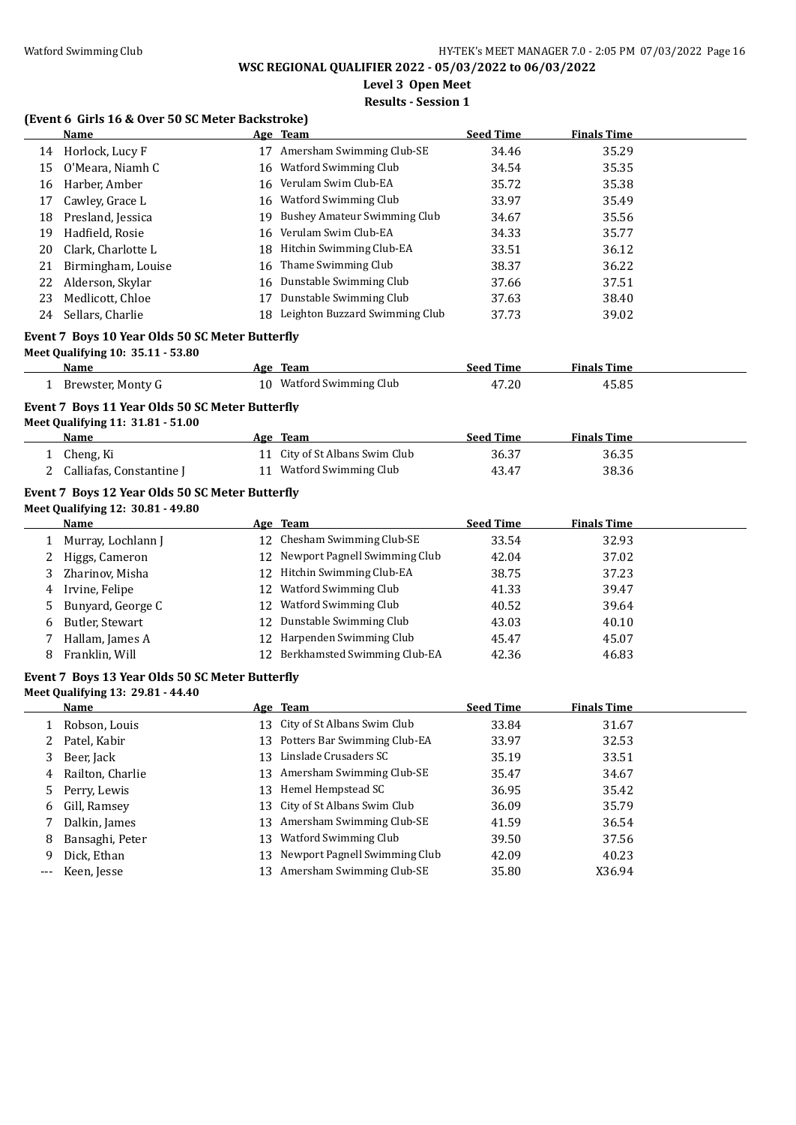**Level 3 Open Meet**

## **Results - Session 1**

# **(Event 6 Girls 16 & Over 50 SC Meter Backstroke)**

|    | <b>Name</b>                                                                          |    | Age Team                                   | <b>Seed Time</b> | <b>Finals Time</b> |  |  |  |
|----|--------------------------------------------------------------------------------------|----|--------------------------------------------|------------------|--------------------|--|--|--|
| 14 | Horlock, Lucy F                                                                      | 17 | Amersham Swimming Club-SE                  | 34.46            | 35.29              |  |  |  |
| 15 | O'Meara, Niamh C                                                                     | 16 | Watford Swimming Club                      | 34.54            | 35.35              |  |  |  |
| 16 | Harber, Amber                                                                        | 16 | Verulam Swim Club-EA                       | 35.72            | 35.38              |  |  |  |
| 17 | Cawley, Grace L                                                                      | 16 | Watford Swimming Club                      | 33.97            | 35.49              |  |  |  |
| 18 | Presland, Jessica                                                                    | 19 | <b>Bushey Amateur Swimming Club</b>        | 34.67            | 35.56              |  |  |  |
| 19 | Hadfield, Rosie                                                                      | 16 | Verulam Swim Club-EA                       | 34.33            | 35.77              |  |  |  |
| 20 | Clark, Charlotte L                                                                   | 18 | Hitchin Swimming Club-EA                   | 33.51            | 36.12              |  |  |  |
| 21 | Birmingham, Louise                                                                   | 16 | Thame Swimming Club                        | 38.37            | 36.22              |  |  |  |
| 22 | Alderson, Skylar                                                                     |    | 16 Dunstable Swimming Club                 | 37.66            | 37.51              |  |  |  |
| 23 | Medlicott, Chloe                                                                     | 17 | Dunstable Swimming Club                    | 37.63            | 38.40              |  |  |  |
| 24 | Sellars, Charlie                                                                     |    | 18 Leighton Buzzard Swimming Club          | 37.73            | 39.02              |  |  |  |
|    | Event 7 Boys 10 Year Olds 50 SC Meter Butterfly<br>Meet Qualifying 10: 35.11 - 53.80 |    |                                            |                  |                    |  |  |  |
|    | <u>Name</u>                                                                          |    | Age Team                                   | <b>Seed Time</b> | <b>Finals Time</b> |  |  |  |
|    | 1 Brewster, Monty G                                                                  |    | 10 Watford Swimming Club                   | 47.20            | 45.85              |  |  |  |
|    | Event 7 Boys 11 Year Olds 50 SC Meter Butterfly<br>Meet Qualifying 11: 31.81 - 51.00 |    |                                            |                  |                    |  |  |  |
|    | Name                                                                                 |    | Age Team<br>11 City of St Albans Swim Club | <b>Seed Time</b> | <b>Finals Time</b> |  |  |  |
| 1  | Cheng, Ki                                                                            |    |                                            | 36.37            | 36.35              |  |  |  |
|    | Calliafas, Constantine J                                                             |    | 11 Watford Swimming Club                   | 43.47            | 38.36              |  |  |  |
|    | Event 7 Boys 12 Year Olds 50 SC Meter Butterfly                                      |    |                                            |                  |                    |  |  |  |
|    | Meet Qualifying 12: 30.81 - 49.80                                                    |    |                                            |                  |                    |  |  |  |
|    | Name                                                                                 |    | Age Team                                   | <b>Seed Time</b> | <b>Finals Time</b> |  |  |  |
| 1  | Murray, Lochlann J                                                                   |    | 12 Chesham Swimming Club-SE                | 33.54            | 32.93              |  |  |  |
| 2  | Higgs, Cameron                                                                       |    | 12 Newport Pagnell Swimming Club           | 42.04            | 37.02              |  |  |  |
| 3  | Zharinov, Misha                                                                      | 12 | Hitchin Swimming Club-EA                   | 38.75            | 37.23              |  |  |  |
| 4  | Irvine, Felipe                                                                       | 12 | Watford Swimming Club                      | 41.33            | 39.47              |  |  |  |
| 5  | Bunyard, George C                                                                    | 12 | Watford Swimming Club                      | 40.52            | 39.64              |  |  |  |
| 6  | Butler, Stewart                                                                      | 12 | Dunstable Swimming Club                    | 43.03            | 40.10              |  |  |  |
| 7  | Hallam, James A                                                                      |    | 12 Harpenden Swimming Club                 | 45.47            | 45.07              |  |  |  |
| 8  | Franklin, Will                                                                       |    | 12 Berkhamsted Swimming Club-EA            | 42.36            | 46.83              |  |  |  |
|    | Event 7 Boys 13 Year Olds 50 SC Meter Butterfly<br>Meet Qualifying 13: 29.81 - 44.40 |    |                                            |                  |                    |  |  |  |
|    | <b>Name</b>                                                                          |    | Age Team                                   | <b>Seed Time</b> | <b>Finals Time</b> |  |  |  |
|    | 1 Robson, Louis                                                                      |    | 13 City of St Albans Swim Club             | 33.84            | 31.67              |  |  |  |
| 2  | Patel, Kabir                                                                         |    | 13 Potters Bar Swimming Club-EA            | 33.97            | 32.53              |  |  |  |
| 3  | Beer, Jack                                                                           | 13 | Linslade Crusaders SC                      | 35.19            | 33.51              |  |  |  |
| 4  | Railton, Charlie                                                                     | 13 | Amersham Swimming Club-SE                  | 35.47            | 34.67              |  |  |  |
| 5  | Perry, Lewis                                                                         | 13 | Hemel Hempstead SC                         | 36.95            | 35.42              |  |  |  |
| 6  | Gill, Ramsey                                                                         | 13 | City of St Albans Swim Club                | 36.09            | 35.79              |  |  |  |
| 7  | Dalkin, James                                                                        | 13 | Amersham Swimming Club-SE                  | 41.59            | 36.54              |  |  |  |
| 8  | Bansaghi, Peter                                                                      | 13 | Watford Swimming Club                      | 39.50            | 37.56              |  |  |  |
| 9  | Dick, Ethan                                                                          | 13 | Newport Pagnell Swimming Club              | 42.09            | 40.23              |  |  |  |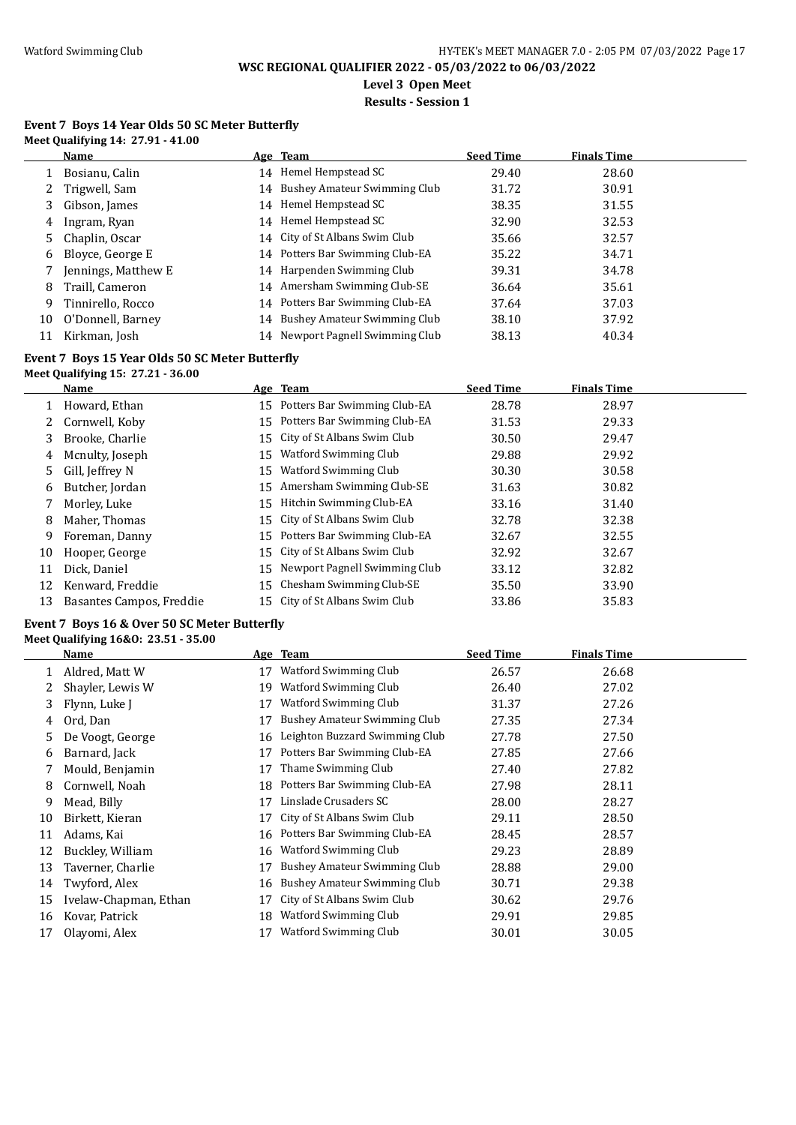**Level 3 Open Meet**

## **Results - Session 1**

## **Event 7 Boys 14 Year Olds 50 SC Meter Butterfly Meet Qualifying 14: 27.91 - 41.00**

|    | <b>Name</b>         | Age Team                         | <b>Seed Time</b> | <b>Finals Time</b> |  |
|----|---------------------|----------------------------------|------------------|--------------------|--|
|    | Bosianu, Calin      | 14 Hemel Hempstead SC            | 29.40            | 28.60              |  |
| 2  | Trigwell, Sam       | 14 Bushey Amateur Swimming Club  | 31.72            | 30.91              |  |
| 3  | Gibson, James       | 14 Hemel Hempstead SC            | 38.35            | 31.55              |  |
| 4  | Ingram, Ryan        | 14 Hemel Hempstead SC            | 32.90            | 32.53              |  |
|    | 5 Chaplin, Oscar    | 14 City of St Albans Swim Club   | 35.66            | 32.57              |  |
|    | 6 Bloyce, George E  | 14 Potters Bar Swimming Club-EA  | 35.22            | 34.71              |  |
|    | Jennings, Matthew E | 14 Harpenden Swimming Club       | 39.31            | 34.78              |  |
| 8  | Traill, Cameron     | 14 Amersham Swimming Club-SE     | 36.64            | 35.61              |  |
| 9  | Tinnirello, Rocco   | 14 Potters Bar Swimming Club-EA  | 37.64            | 37.03              |  |
| 10 | O'Donnell, Barney   | 14 Bushey Amateur Swimming Club  | 38.10            | 37.92              |  |
|    | Kirkman, Josh       | 14 Newport Pagnell Swimming Club | 38.13            | 40.34              |  |

## **Event 7 Boys 15 Year Olds 50 SC Meter Butterfly**

## **Meet Qualifying 15: 27.21 - 36.00**

|    | Name                     |    | Age Team                         | <b>Seed Time</b> | <b>Finals Time</b> |  |
|----|--------------------------|----|----------------------------------|------------------|--------------------|--|
|    | Howard, Ethan            |    | 15 Potters Bar Swimming Club-EA  | 28.78            | 28.97              |  |
|    | Cornwell, Koby           | 15 | Potters Bar Swimming Club-EA     | 31.53            | 29.33              |  |
| 3  | Brooke, Charlie          |    | 15 City of St Albans Swim Club   | 30.50            | 29.47              |  |
| 4  | Mcnulty, Joseph          |    | 15 Watford Swimming Club         | 29.88            | 29.92              |  |
| 5. | Gill, Jeffrey N          | 15 | <b>Watford Swimming Club</b>     | 30.30            | 30.58              |  |
| 6  | Butcher, Jordan          | 15 | Amersham Swimming Club-SE        | 31.63            | 30.82              |  |
|    | Morley, Luke             | 15 | Hitchin Swimming Club-EA         | 33.16            | 31.40              |  |
| 8  | Maher, Thomas            |    | 15 City of St Albans Swim Club   | 32.78            | 32.38              |  |
| 9  | Foreman, Danny           |    | 15 Potters Bar Swimming Club-EA  | 32.67            | 32.55              |  |
| 10 | Hooper, George           |    | 15 City of St Albans Swim Club   | 32.92            | 32.67              |  |
| 11 | Dick, Daniel             |    | 15 Newport Pagnell Swimming Club | 33.12            | 32.82              |  |
| 12 | Kenward, Freddie         | 15 | Chesham Swimming Club-SE         | 35.50            | 33.90              |  |
| 13 | Basantes Campos, Freddie |    | 15 City of St Albans Swim Club   | 33.86            | 35.83              |  |

# **Event 7 Boys 16 & Over 50 SC Meter Butterfly**

## **Meet Qualifying 16&O: 23.51 - 35.00**

|    | Name                  |    | Age Team                            | <b>Seed Time</b> | <b>Finals Time</b> |  |
|----|-----------------------|----|-------------------------------------|------------------|--------------------|--|
|    | Aldred, Matt W        | 17 | Watford Swimming Club               | 26.57            | 26.68              |  |
|    | Shayler, Lewis W      | 19 | Watford Swimming Club               | 26.40            | 27.02              |  |
| 3  | Flynn, Luke J         | 17 | Watford Swimming Club               | 31.37            | 27.26              |  |
| 4  | Ord, Dan              | 17 | <b>Bushey Amateur Swimming Club</b> | 27.35            | 27.34              |  |
| 5. | De Voogt, George      | 16 | Leighton Buzzard Swimming Club      | 27.78            | 27.50              |  |
| 6  | Barnard, Jack         | 17 | Potters Bar Swimming Club-EA        | 27.85            | 27.66              |  |
|    | Mould, Benjamin       | 17 | Thame Swimming Club                 | 27.40            | 27.82              |  |
| 8  | Cornwell, Noah        | 18 | Potters Bar Swimming Club-EA        | 27.98            | 28.11              |  |
| 9  | Mead, Billy           | 17 | Linslade Crusaders SC               | 28.00            | 28.27              |  |
| 10 | Birkett, Kieran       | 17 | City of St Albans Swim Club         | 29.11            | 28.50              |  |
| 11 | Adams, Kai            | 16 | Potters Bar Swimming Club-EA        | 28.45            | 28.57              |  |
| 12 | Buckley, William      | 16 | Watford Swimming Club               | 29.23            | 28.89              |  |
| 13 | Taverner, Charlie     | 17 | <b>Bushey Amateur Swimming Club</b> | 28.88            | 29.00              |  |
| 14 | Twyford, Alex         | 16 | Bushey Amateur Swimming Club        | 30.71            | 29.38              |  |
| 15 | Ivelaw-Chapman, Ethan | 17 | City of St Albans Swim Club         | 30.62            | 29.76              |  |
| 16 | Kovar, Patrick        | 18 | Watford Swimming Club               | 29.91            | 29.85              |  |
| 17 | Olayomi, Alex         |    | Watford Swimming Club               | 30.01            | 30.05              |  |